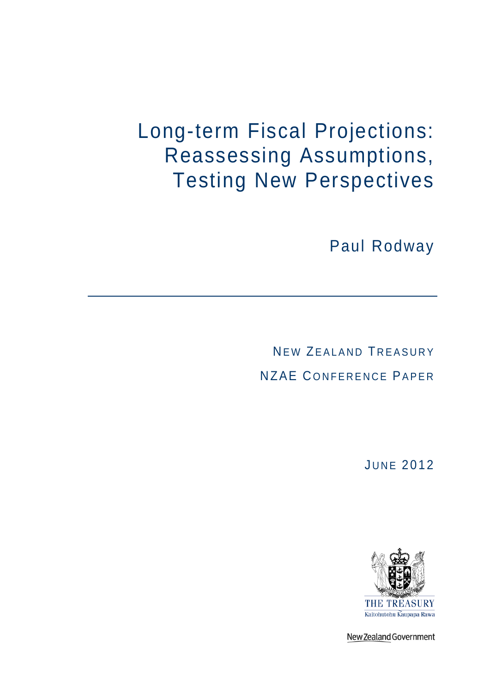# Long-term Fiscal Projections: Reassessing Assumptions, Testing New Perspectives

Paul Rodway

NEW ZEALAND TREASURY NZAE C ONFERENCE PAPER

**JUNE 2012** 



New Zealand Government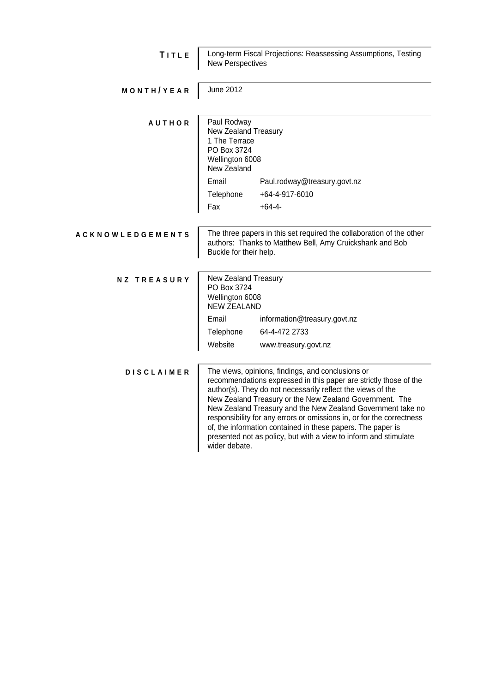| TITLE                   | Long-term Fiscal Projections: Reassessing Assumptions, Testing<br><b>New Perspectives</b>                                                                                                                                                                                                                                                                                                                                                                                                                                                    |                              |
|-------------------------|----------------------------------------------------------------------------------------------------------------------------------------------------------------------------------------------------------------------------------------------------------------------------------------------------------------------------------------------------------------------------------------------------------------------------------------------------------------------------------------------------------------------------------------------|------------------------------|
| MONTH/YEAR              | <b>June 2012</b>                                                                                                                                                                                                                                                                                                                                                                                                                                                                                                                             |                              |
| <b>AUTHOR</b>           | Paul Rodway<br>New Zealand Treasury<br>1 The Terrace<br>PO Box 3724<br>Wellington 6008<br>New Zealand                                                                                                                                                                                                                                                                                                                                                                                                                                        |                              |
|                         | Email                                                                                                                                                                                                                                                                                                                                                                                                                                                                                                                                        | Paul.rodway@treasury.govt.nz |
|                         | Telephone                                                                                                                                                                                                                                                                                                                                                                                                                                                                                                                                    | +64-4-917-6010               |
|                         | Fax                                                                                                                                                                                                                                                                                                                                                                                                                                                                                                                                          | $+64-4-$                     |
| <b>ACKNOWLEDGEMENTS</b> | The three papers in this set required the collaboration of the other<br>authors: Thanks to Matthew Bell, Amy Cruickshank and Bob<br>Buckle for their help.                                                                                                                                                                                                                                                                                                                                                                                   |                              |
| <b>NZ TREASURY</b>      | New Zealand Treasury<br>PO Box 3724<br>Wellington 6008<br><b>NEW ZEALAND</b>                                                                                                                                                                                                                                                                                                                                                                                                                                                                 |                              |
|                         | Email                                                                                                                                                                                                                                                                                                                                                                                                                                                                                                                                        | information@treasury.govt.nz |
|                         | Telephone                                                                                                                                                                                                                                                                                                                                                                                                                                                                                                                                    | 64-4-472 2733                |
|                         | Website                                                                                                                                                                                                                                                                                                                                                                                                                                                                                                                                      | www.treasury.govt.nz         |
| <b>DISCLAIMER</b>       | The views, opinions, findings, and conclusions or<br>recommendations expressed in this paper are strictly those of the<br>author(s). They do not necessarily reflect the views of the<br>New Zealand Treasury or the New Zealand Government. The<br>New Zealand Treasury and the New Zealand Government take no<br>responsibility for any errors or omissions in, or for the correctness<br>of, the information contained in these papers. The paper is<br>presented not as policy, but with a view to inform and stimulate<br>wider debate. |                              |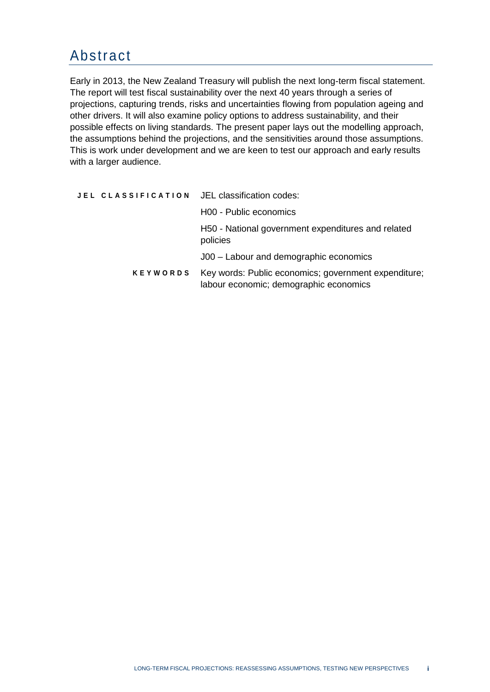## Abstract

Early in 2013, the New Zealand Treasury will publish the next long-term fiscal statement. The report will test fiscal sustainability over the next 40 years through a series of projections, capturing trends, risks and uncertainties flowing from population ageing and other drivers. It will also examine policy options to address sustainability, and their possible effects on living standards. The present paper lays out the modelling approach, the assumptions behind the projections, and the sensitivities around those assumptions. This is work under development and we are keen to test our approach and early results with a larger audience.

|                 | JEL CLASSIFICATION JEL classification codes:                                                   |
|-----------------|------------------------------------------------------------------------------------------------|
|                 | H00 - Public economics                                                                         |
|                 | H50 - National government expenditures and related<br>policies                                 |
|                 | J00 – Labour and demographic economics                                                         |
| <b>KEYWORDS</b> | Key words: Public economics; government expenditure;<br>labour economic; demographic economics |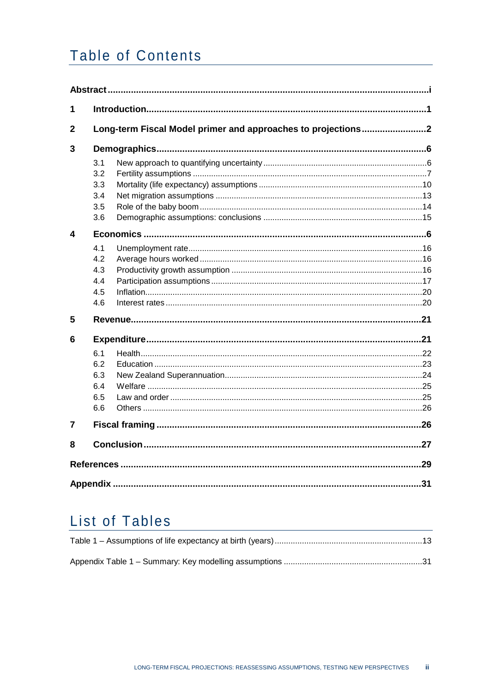## **Table of Contents**

| 1              |                                        |                                                              |    |  |
|----------------|----------------------------------------|--------------------------------------------------------------|----|--|
| $\overline{2}$ |                                        | Long-term Fiscal Model primer and approaches to projections2 |    |  |
| 3              |                                        |                                                              |    |  |
|                | 3.1<br>3.2<br>3.3<br>3.4<br>3.5<br>3.6 |                                                              |    |  |
| 4              |                                        |                                                              |    |  |
|                | 4.1<br>4.2<br>4.3<br>4.4<br>4.5<br>4.6 |                                                              |    |  |
| 5              |                                        |                                                              |    |  |
| 6              | 6.1<br>6.2<br>6.3<br>6.4<br>6.5<br>6.6 |                                                              |    |  |
| 7              |                                        |                                                              |    |  |
| 8              |                                        |                                                              |    |  |
|                |                                        |                                                              | 29 |  |
|                |                                        |                                                              | 31 |  |

## **List of Tables**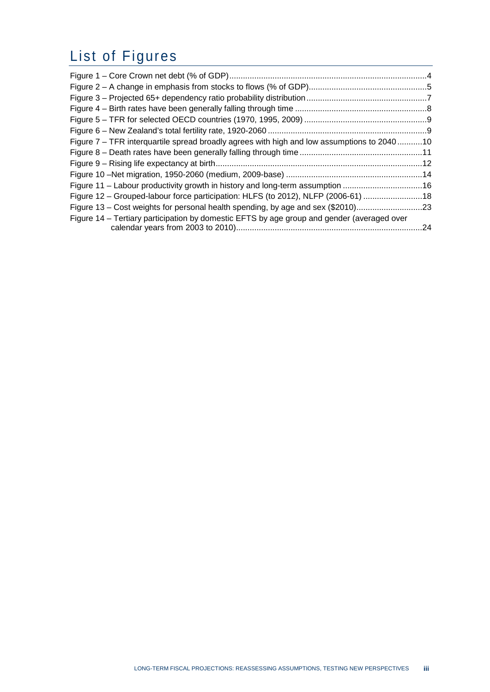## List of Figures

| Figure 7 – TFR interquartile spread broadly agrees with high and low assumptions to 204010 |  |
|--------------------------------------------------------------------------------------------|--|
|                                                                                            |  |
|                                                                                            |  |
|                                                                                            |  |
| Figure 11 – Labour productivity growth in history and long-term assumption 16              |  |
| Figure 12 - Grouped-labour force participation: HLFS (to 2012), NLFP (2006-61) 18          |  |
| Figure 13 – Cost weights for personal health spending, by age and sex (\$2010)23           |  |
| Figure 14 – Tertiary participation by domestic EFTS by age group and gender (averaged over |  |
|                                                                                            |  |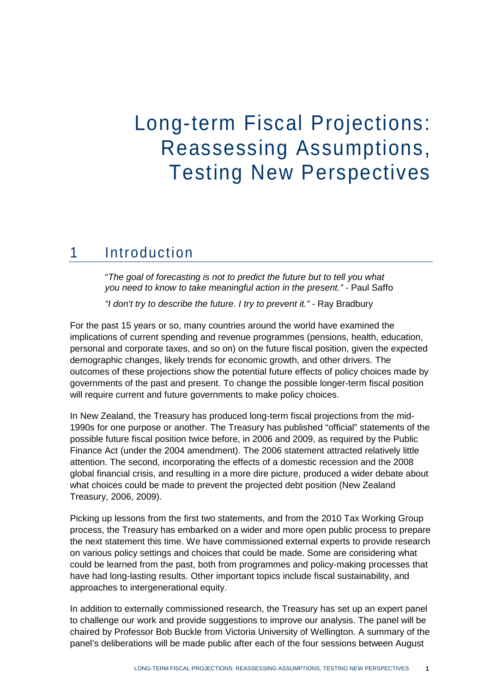# Long-term Fiscal Projections: Reassessing Assumptions, Testing New Perspectives

### 1 Introduction

"*The goal of forecasting is not to predict the future but to tell you what you need to know to take meaningful action in the present."* - Paul Saffo

*"I don't try to describe the future. I try to prevent it."* - [Ray Bradbury](http://www.brainyquote.com/quotes/quotes/r/raybradbur124755.html)

For the past 15 years or so, many countries around the world have examined the implications of current spending and revenue programmes (pensions, health, education, personal and corporate taxes, and so on) on the future fiscal position, given the expected demographic changes, likely trends for economic growth, and other drivers. The outcomes of these projections show the potential future effects of policy choices made by governments of the past and present. To change the possible longer-term fiscal position will require current and future governments to make policy choices.

In New Zealand, the Treasury has produced long-term fiscal projections from the mid-1990s for one purpose or another. The Treasury has published "official" statements of the possible future fiscal position twice before, in 2006 and 2009, as required by the Public Finance Act (under the 2004 amendment). The 2006 statement attracted relatively little attention. The second, incorporating the effects of a domestic recession and the 2008 global financial crisis, and resulting in a more dire picture, produced a wider debate about what choices could be made to prevent the projected debt position (New Zealand Treasury, 2006, 2009).

Picking up lessons from the first two statements, and from the 2010 Tax Working Group process, the Treasury has embarked on a wider and more open public process to prepare the next statement this time. We have commissioned external experts to provide research on various policy settings and choices that could be made. Some are considering what could be learned from the past, both from programmes and policy-making processes that have had long-lasting results. Other important topics include fiscal sustainability, and approaches to intergenerational equity.

In addition to externally commissioned research, the Treasury has set up an expert panel to challenge our work and provide suggestions to improve our analysis. The panel will be chaired by Professor Bob Buckle from Victoria University of Wellington. A summary of the panel's deliberations will be made public after each of the four sessions between August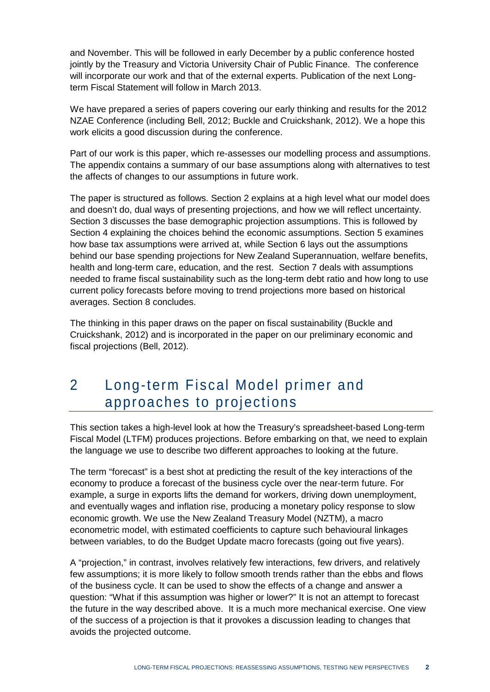and November. This will be followed in early December by a public conference hosted jointly by the Treasury and Victoria University Chair of Public Finance. The conference will incorporate our work and that of the external experts. Publication of the next Longterm Fiscal Statement will follow in March 2013.

We have prepared a series of papers covering our early thinking and results for the 2012 NZAE Conference (including Bell, 2012; Buckle and Cruickshank, 2012). We a hope this work elicits a good discussion during the conference.

Part of our work is this paper, which re-assesses our modelling process and assumptions. The appendix contains a summary of our base assumptions along with alternatives to test the affects of changes to our assumptions in future work.

The paper is structured as follows. Section 2 explains at a high level what our model does and doesn't do, dual ways of presenting projections, and how we will reflect uncertainty. Section 3 discusses the base demographic projection assumptions. This is followed by Section 4 explaining the choices behind the economic assumptions. Section 5 examines how base tax assumptions were arrived at, while Section 6 lays out the assumptions behind our base spending projections for New Zealand Superannuation, welfare benefits, health and long-term care, education, and the rest. Section 7 deals with assumptions needed to frame fiscal sustainability such as the long-term debt ratio and how long to use current policy forecasts before moving to trend projections more based on historical averages. Section 8 concludes.

The thinking in this paper draws on the paper on fiscal sustainability (Buckle and Cruickshank, 2012) and is incorporated in the paper on our preliminary economic and fiscal projections (Bell, 2012).

### 2 Long-term Fiscal Model primer and approaches to projections

This section takes a high-level look at how the Treasury's spreadsheet-based Long-term Fiscal Model (LTFM) produces projections. Before embarking on that, we need to explain the language we use to describe two different approaches to looking at the future.

The term "forecast" is a best shot at predicting the result of the key interactions of the economy to produce a forecast of the business cycle over the near-term future. For example, a surge in exports lifts the demand for workers, driving down unemployment, and eventually wages and inflation rise, producing a monetary policy response to slow economic growth. We use the New Zealand Treasury Model (NZTM), a macro econometric model, with estimated coefficients to capture such behavioural linkages between variables, to do the Budget Update macro forecasts (going out five years).

A "projection," in contrast, involves relatively few interactions, few drivers, and relatively few assumptions; it is more likely to follow smooth trends rather than the ebbs and flows of the business cycle. It can be used to show the effects of a change and answer a question: "What if this assumption was higher or lower?" It is not an attempt to forecast the future in the way described above. It is a much more mechanical exercise. One view of the success of a projection is that it provokes a discussion leading to changes that avoids the projected outcome.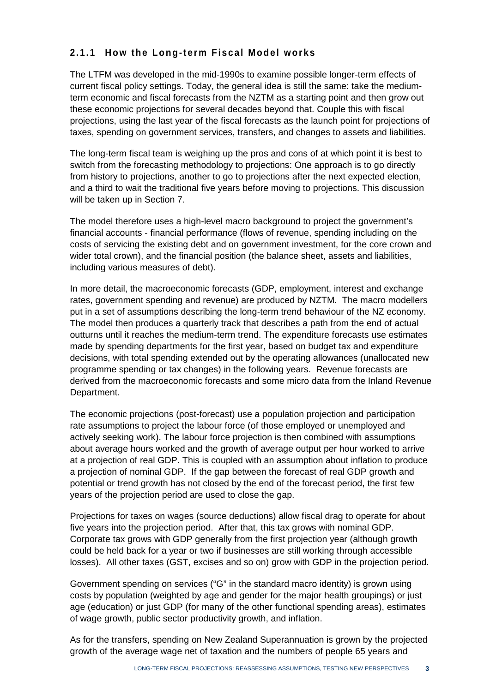#### **2.1.1 How the Long-term Fiscal Model works**

The LTFM was developed in the mid-1990s to examine possible longer-term effects of current fiscal policy settings. Today, the general idea is still the same: take the mediumterm economic and fiscal forecasts from the NZTM as a starting point and then grow out these economic projections for several decades beyond that. Couple this with fiscal projections, using the last year of the fiscal forecasts as the launch point for projections of taxes, spending on government services, transfers, and changes to assets and liabilities.

The long-term fiscal team is weighing up the pros and cons of at which point it is best to switch from the forecasting methodology to projections: One approach is to go directly from history to projections, another to go to projections after the next expected election, and a third to wait the traditional five years before moving to projections. This discussion will be taken up in Section 7.

The model therefore uses a high-level macro background to project the government's financial accounts - financial performance (flows of revenue, spending including on the costs of servicing the existing debt and on government investment, for the core crown and wider total crown), and the financial position (the balance sheet, assets and liabilities, including various measures of debt).

In more detail, the macroeconomic forecasts (GDP, employment, interest and exchange rates, government spending and revenue) are produced by NZTM. The macro modellers put in a set of assumptions describing the long-term trend behaviour of the NZ economy. The model then produces a quarterly track that describes a path from the end of actual outturns until it reaches the medium-term trend. The expenditure forecasts use estimates made by spending departments for the first year, based on budget tax and expenditure decisions, with total spending extended out by the operating allowances (unallocated new programme spending or tax changes) in the following years. Revenue forecasts are derived from the macroeconomic forecasts and some micro data from the Inland Revenue Department.

The economic projections (post-forecast) use a population projection and participation rate assumptions to project the labour force (of those employed or unemployed and actively seeking work). The labour force projection is then combined with assumptions about average hours worked and the growth of average output per hour worked to arrive at a projection of real GDP. This is coupled with an assumption about inflation to produce a projection of nominal GDP. If the gap between the forecast of real GDP growth and potential or trend growth has not closed by the end of the forecast period, the first few years of the projection period are used to close the gap.

Projections for taxes on wages (source deductions) allow fiscal drag to operate for about five years into the projection period. After that, this tax grows with nominal GDP. Corporate tax grows with GDP generally from the first projection year (although growth could be held back for a year or two if businesses are still working through accessible losses). All other taxes (GST, excises and so on) grow with GDP in the projection period.

Government spending on services ("G" in the standard macro identity) is grown using costs by population (weighted by age and gender for the major health groupings) or just age (education) or just GDP (for many of the other functional spending areas), estimates of wage growth, public sector productivity growth, and inflation.

As for the transfers, spending on New Zealand Superannuation is grown by the projected growth of the average wage net of taxation and the numbers of people 65 years and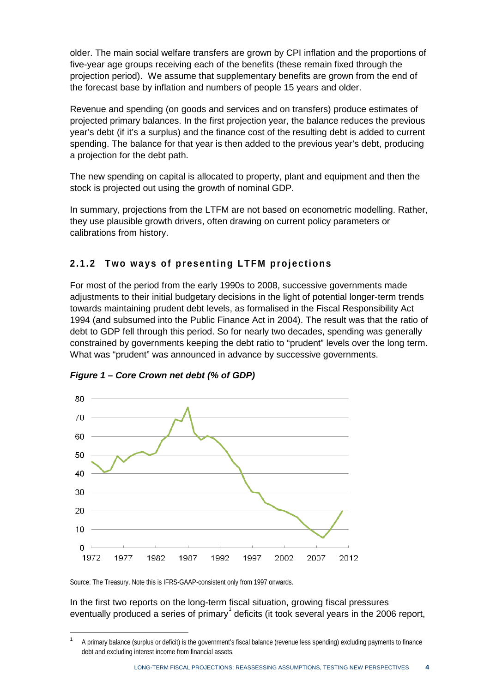older. The main social welfare transfers are grown by CPI inflation and the proportions of five-year age groups receiving each of the benefits (these remain fixed through the projection period). We assume that supplementary benefits are grown from the end of the forecast base by inflation and numbers of people 15 years and older.

Revenue and spending (on goods and services and on transfers) produce estimates of projected primary balances. In the first projection year, the balance reduces the previous year's debt (if it's a surplus) and the finance cost of the resulting debt is added to current spending. The balance for that year is then added to the previous year's debt, producing a projection for the debt path.

The new spending on capital is allocated to property, plant and equipment and then the stock is projected out using the growth of nominal GDP.

In summary, projections from the LTFM are not based on econometric modelling. Rather, they use plausible growth drivers, often drawing on current policy parameters or calibrations from history.

#### **2.1.2 Two ways of presenting LTFM projections**

For most of the period from the early 1990s to 2008, successive governments made adjustments to their initial budgetary decisions in the light of potential longer-term trends towards maintaining prudent debt levels, as formalised in the Fiscal Responsibility Act 1994 (and subsumed into the Public Finance Act in 2004). The result was that the ratio of debt to GDP fell through this period. So for nearly two decades, spending was generally constrained by governments keeping the debt ratio to "prudent" levels over the long term. What was "prudent" was announced in advance by successive governments.



<span id="page-9-0"></span>*Figure 1 – Core Crown net debt (% of GDP)*

Source: The Treasury. Note this is IFRS-GAAP-consistent only from 1997 onwards.

**.** 

In the first two reports on the long-term fiscal situation, growing fiscal pressures eventually produced a series of primary $^{1}$  $^{1}$  $^{1}$  deficits (it took several years in the 2006 report,

<span id="page-9-1"></span><sup>1</sup> A primary balance (surplus or deficit) is the government's fiscal balance (revenue less spending) excluding payments to finance debt and excluding interest income from financial assets.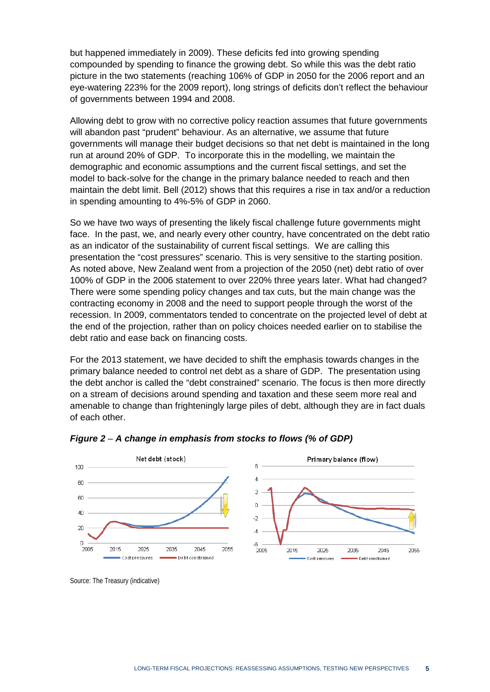but happened immediately in 2009). These deficits fed into growing spending compounded by spending to finance the growing debt. So while this was the debt ratio picture in the two statements (reaching 106% of GDP in 2050 for the 2006 report and an eye-watering 223% for the 2009 report), long strings of deficits don't reflect the behaviour of governments between 1994 and 2008.

Allowing debt to grow with no corrective policy reaction assumes that future governments will abandon past "prudent" behaviour. As an alternative, we assume that future governments will manage their budget decisions so that net debt is maintained in the long run at around 20% of GDP. To incorporate this in the modelling, we maintain the demographic and economic assumptions and the current fiscal settings, and set the model to back-solve for the change in the primary balance needed to reach and then maintain the debt limit. Bell (2012) shows that this requires a rise in tax and/or a reduction in spending amounting to 4%-5% of GDP in 2060.

So we have two ways of presenting the likely fiscal challenge future governments might face. In the past, we, and nearly every other country, have concentrated on the debt ratio as an indicator of the sustainability of current fiscal settings. We are calling this presentation the "cost pressures" scenario. This is very sensitive to the starting position. As noted above, New Zealand went from a projection of the 2050 (net) debt ratio of over 100% of GDP in the 2006 statement to over 220% three years later. What had changed? There were some spending policy changes and tax cuts, but the main change was the contracting economy in 2008 and the need to support people through the worst of the recession. In 2009, commentators tended to concentrate on the projected level of debt at the end of the projection, rather than on policy choices needed earlier on to stabilise the debt ratio and ease back on financing costs.

For the 2013 statement, we have decided to shift the emphasis towards changes in the primary balance needed to control net debt as a share of GDP. The presentation using the debt anchor is called the "debt constrained" scenario. The focus is then more directly on a stream of decisions around spending and taxation and these seem more real and amenable to change than frighteningly large piles of debt, although they are in fact duals of each other.



<span id="page-10-0"></span>*Figure 2* – *A change in emphasis from stocks to flows (% of GDP)*

Source: The Treasury (indicative)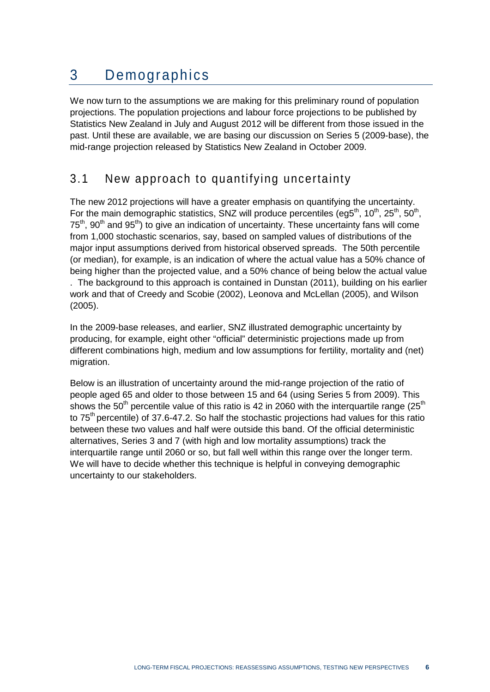## 3 Demographics

We now turn to the assumptions we are making for this preliminary round of population projections. The population projections and labour force projections to be published by Statistics New Zealand in July and August 2012 will be different from those issued in the past. Until these are available, we are basing our discussion on Series 5 (2009-base), the mid-range projection released by Statistics New Zealand in October 2009.

### 3.1 New approach to quantifying uncertainty

The new 2012 projections will have a greater emphasis on quantifying the uncertainty. For the main demographic statistics, SNZ will produce percentiles (eg5<sup>th</sup>, 10<sup>th</sup>, 25<sup>th</sup>, 50<sup>th</sup>,  $75<sup>th</sup>$ ,  $90<sup>th</sup>$  and  $95<sup>th</sup>$ ) to give an indication of uncertainty. These uncertainty fans will come from 1,000 stochastic scenarios, say, based on sampled values of distributions of the major input assumptions derived from historical observed spreads. The 50th percentile (or median), for example, is an indication of where the actual value has a 50% chance of being higher than the projected value, and a 50% chance of being below the actual value . The background to this approach is contained in Dunstan (2011), building on his earlier work and that of Creedy and Scobie (2002), Leonova and McLellan (2005), and Wilson (2005).

In the 2009-base releases, and earlier, SNZ illustrated demographic uncertainty by producing, for example, eight other "official" deterministic projections made up from different combinations high, medium and low assumptions for fertility, mortality and (net) migration.

Below is an illustration of uncertainty around the mid-range projection of the ratio of people aged 65 and older to those between 15 and 64 (using Series 5 from 2009). This shows the 50<sup>th</sup> percentile value of this ratio is 42 in 2060 with the interquartile range (25<sup>th</sup>) to 75<sup>th</sup> percentile) of 37.6-47.2. So half the stochastic projections had values for this ratio between these two values and half were outside this band. Of the official deterministic alternatives, Series 3 and 7 (with high and low mortality assumptions) track the interquartile range until 2060 or so, but fall well within this range over the longer term. We will have to decide whether this technique is helpful in conveving demographic uncertainty to our stakeholders.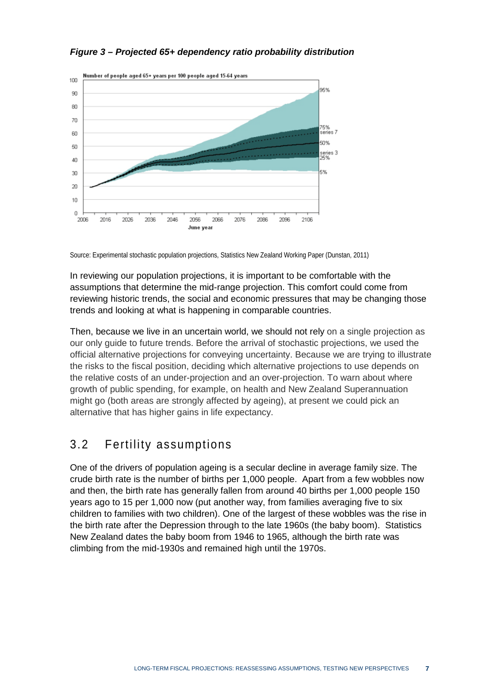

#### <span id="page-12-0"></span>*Figure 3 – Projected 65+ dependency ratio probability distribution*

Source: Experimental stochastic population projections, Statistics New Zealand Working Paper (Dunstan, 2011)

In reviewing our population projections, it is important to be comfortable with the assumptions that determine the mid-range projection. This comfort could come from reviewing historic trends, the social and economic pressures that may be changing those trends and looking at what is happening in comparable countries.

Then, because we live in an uncertain world, we should not rely on a single projection as our only guide to future trends. Before the arrival of stochastic projections, we used the official alternative projections for conveying uncertainty. Because we are trying to illustrate the risks to the fiscal position, deciding which alternative projections to use depends on the relative costs of an under-projection and an over-projection. To warn about where growth of public spending, for example, on health and New Zealand Superannuation might go (both areas are strongly affected by ageing), at present we could pick an alternative that has higher gains in life expectancy.

#### 3.2 Fertility assumptions

One of the drivers of population ageing is a secular decline in average family size. The crude birth rate is the number of births per 1,000 people. Apart from a few wobbles now and then, the birth rate has generally fallen from around 40 births per 1,000 people 150 years ago to 15 per 1,000 now (put another way, from families averaging five to six children to families with two children). One of the largest of these wobbles was the rise in the birth rate after the Depression through to the late 1960s (the baby boom). Statistics New Zealand dates the baby boom from 1946 to 1965, although the birth rate was climbing from the mid-1930s and remained high until the 1970s.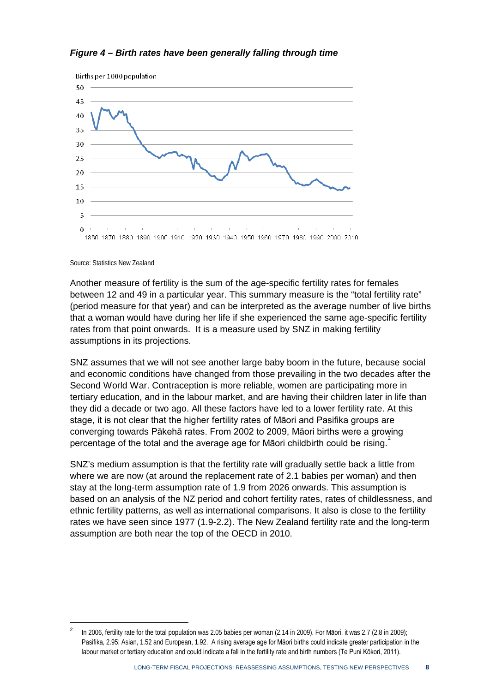#### <span id="page-13-0"></span>*Figure 4 – Birth rates have been generally falling through time*



Source: Statistics New Zealand

1

Another measure of fertility is the sum of the age-specific fertility rates for females between 12 and 49 in a particular year. This summary measure is the "total fertility rate" (period measure for that year) and can be interpreted as the average number of live births that a woman would have during her life if she experienced the same age-specific fertility rates from that point onwards. It is a measure used by SNZ in making fertility assumptions in its projections.

SNZ assumes that we will not see another large baby boom in the future, because social and economic conditions have changed from those prevailing in the two decades after the Second World War. Contraception is more reliable, women are participating more in tertiary education, and in the labour market, and are having their children later in life than they did a decade or two ago. All these factors have led to a lower fertility rate. At this stage, it is not clear that the higher fertility rates of Māori and Pasifika groups are converging towards Pākehā rates. From 2002 to 2009, Māori births were a growing percentage of the total and the average age for Māori childbirth could be rising.

SNZ's medium assumption is that the fertility rate will gradually settle back a little from where we are now (at around the replacement rate of 2.1 babies per woman) and then stay at the long-term assumption rate of 1.9 from 2026 onwards. This assumption is based on an analysis of the NZ period and cohort fertility rates, rates of childlessness, and ethnic fertility patterns, as well as international comparisons. It also is close to the fertility rates we have seen since 1977 (1.9-2.2). The New Zealand fertility rate and the long-term assumption are both near the top of the OECD in 2010.

<span id="page-13-1"></span><sup>2</sup> In 2006, fertility rate for the total population was 2.05 babies per woman (2.14 in 2009). For Māori, it was 2.7 (2.8 in 2009); Pasifika, 2.95; Asian, 1.52 and European, 1.92. A rising average age for Māori births could indicate greater participation in the labour market or tertiary education and could indicate a fall in the fertility rate and birth numbers (Te Puni Kōkori, 2011).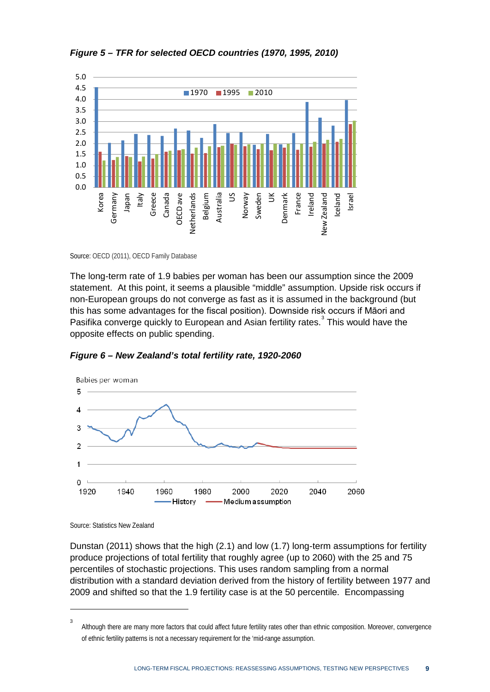

<span id="page-14-0"></span>*Figure 5 – TFR for selected OECD countries (1970, 1995, 2010)*

Source: OECD (2011), OECD Family Database

The long-term rate of 1.9 babies per woman has been our assumption since the 2009 statement. At this point, it seems a plausible "middle" assumption. Upside risk occurs if non-European groups do not converge as fast as it is assumed in the background (but this has some advantages for the fiscal position). Downside risk occurs if Māori and Pasifika converge quickly to European and Asian fertility rates.<sup>[3](#page-14-2)</sup> This would have the opposite effects on public spending.



<span id="page-14-1"></span>*Figure 6 – New Zealand's total fertility rate, 1920-2060*

Source: Statistics New Zealand

1

Dunstan (2011) shows that the high (2.1) and low (1.7) long-term assumptions for fertility produce projections of total fertility that roughly agree (up to 2060) with the 25 and 75 percentiles of stochastic projections. This uses random sampling from a normal distribution with a standard deviation derived from the history of fertility between 1977 and 2009 and shifted so that the 1.9 fertility case is at the 50 percentile. Encompassing

<span id="page-14-2"></span><sup>3</sup> Although there are many more factors that could affect future fertility rates other than ethnic composition. Moreover, convergence of ethnic fertility patterns is not a necessary requirement for the 'mid-range assumption.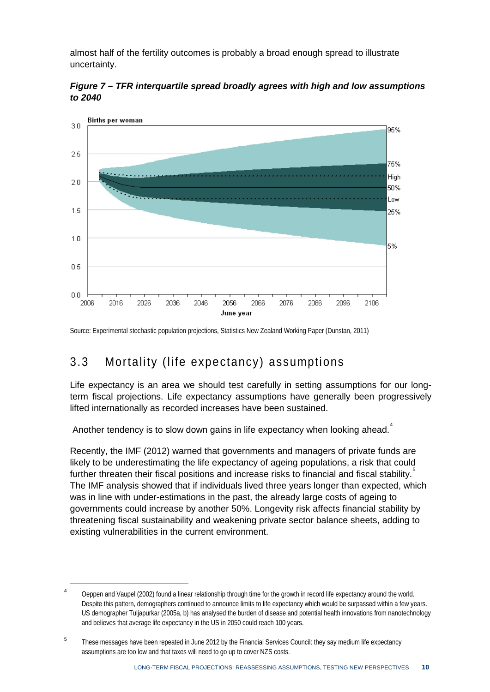almost half of the fertility outcomes is probably a broad enough spread to illustrate uncertainty.

<span id="page-15-0"></span>



Source: Experimental stochastic population projections, Statistics New Zealand Working Paper (Dunstan, 2011)

#### 3.3 Mortality (life expectancy) assumptions

Life expectancy is an area we should test carefully in setting assumptions for our longterm fiscal projections. Life expectancy assumptions have generally been progressively lifted internationally as recorded increases have been sustained.

Another tendency is to slow down gains in life expectancy when looking ahead.<sup>[4](#page-15-1)</sup>

Recently, the IMF (2012) warned that governments and managers of private funds are likely to be underestimating the life expectancy of ageing populations, a risk that could further threaten their fiscal positions and increase risks to financial and fiscal stability. The IMF analysis showed that if individuals lived three years longer than expected, which was in line with under-estimations in the past, the already large costs of ageing to governments could increase by another 50%. Longevity risk affects financial stability by threatening fiscal sustainability and weakening private sector balance sheets, adding to existing vulnerabilities in the current environment.

**.** 

<span id="page-15-1"></span>Oeppen and Vaupel (2002) found a linear relationship through time for the growth in record life expectancy around the world. Despite this pattern, demographers continued to announce limits to life expectancy which would be surpassed within a few years. US demographer Tuljapurkar (2005a, b) has analysed the burden of disease and potential health innovations from nanotechnology and believes that average life expectancy in the US in 2050 could reach 100 years.

<span id="page-15-2"></span><sup>&</sup>lt;sup>5</sup> These messages have been repeated in June 2012 by the Financial Services Council: they say medium life expectancy assumptions are too low and that taxes will need to go up to cover NZS costs.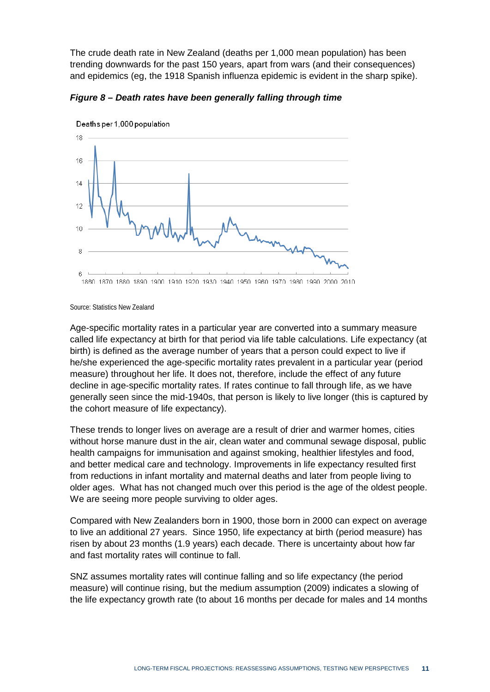The crude death rate in New Zealand (deaths per 1,000 mean population) has been trending downwards for the past 150 years, apart from wars (and their consequences) and epidemics (eg, the 1918 Spanish influenza epidemic is evident in the sharp spike).



<span id="page-16-0"></span>*Figure 8 – Death rates have been generally falling through time*

Source: Statistics New Zealand

Age-specific mortality rates in a particular year are converted into a summary measure called life expectancy at birth for that period via life table calculations. Life expectancy (at birth) is defined as the average number of years that a person could expect to live if he/she experienced the age-specific mortality rates prevalent in a particular year (period measure) throughout her life. It does not, therefore, include the effect of any future decline in age-specific mortality rates. If rates continue to fall through life, as we have generally seen since the mid-1940s, that person is likely to live longer (this is captured by the cohort measure of life expectancy).

These trends to longer lives on average are a result of drier and warmer homes, cities without horse manure dust in the air, clean water and communal sewage disposal, public health campaigns for immunisation and against smoking, healthier lifestyles and food, and better medical care and technology. Improvements in life expectancy resulted first from reductions in infant mortality and maternal deaths and later from people living to older ages. What has not changed much over this period is the age of the oldest people. We are seeing more people surviving to older ages.

Compared with New Zealanders born in 1900, those born in 2000 can expect on average to live an additional 27 years. Since 1950, life expectancy at birth (period measure) has risen by about 23 months (1.9 years) each decade. There is uncertainty about how far and fast mortality rates will continue to fall.

SNZ assumes mortality rates will continue falling and so life expectancy (the period measure) will continue rising, but the medium assumption (2009) indicates a slowing of the life expectancy growth rate (to about 16 months per decade for males and 14 months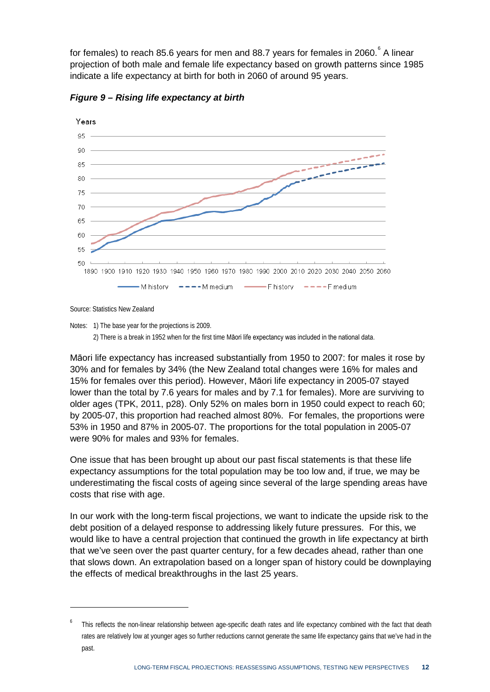for females) to reach 85.[6](#page-17-1) years for men and 88.7 years for females in 2060. $\degree$  A linear projection of both male and female life expectancy based on growth patterns since 1985 indicate a life expectancy at birth for both in 2060 of around 95 years.



<span id="page-17-0"></span>*Figure 9 – Rising life expectancy at birth*

Source: Statistics New Zealand

1

Notes: 1) The base year for the projections is 2009.

2) There is a break in 1952 when for the first time Māori life expectancy was included in the national data.

Māori life expectancy has increased substantially from 1950 to 2007: for males it rose by 30% and for females by 34% (the New Zealand total changes were 16% for males and 15% for females over this period). However, Māori life expectancy in 2005-07 stayed lower than the total by 7.6 years for males and by 7.1 for females). More are surviving to older ages (TPK, 2011, p28). Only 52% on males born in 1950 could expect to reach 60; by 2005-07, this proportion had reached almost 80%. For females, the proportions were 53% in 1950 and 87% in 2005-07. The proportions for the total population in 2005-07 were 90% for males and 93% for females.

One issue that has been brought up about our past fiscal statements is that these life expectancy assumptions for the total population may be too low and, if true, we may be underestimating the fiscal costs of ageing since several of the large spending areas have costs that rise with age.

In our work with the long-term fiscal projections, we want to indicate the upside risk to the debt position of a delayed response to addressing likely future pressures. For this, we would like to have a central projection that continued the growth in life expectancy at birth that we've seen over the past quarter century, for a few decades ahead, rather than one that slows down. An extrapolation based on a longer span of history could be downplaying the effects of medical breakthroughs in the last 25 years.

<span id="page-17-1"></span>This reflects the non-linear relationship between age-specific death rates and life expectancy combined with the fact that death rates are relatively low at younger ages so further reductions cannot generate the same life expectancy gains that we've had in the past.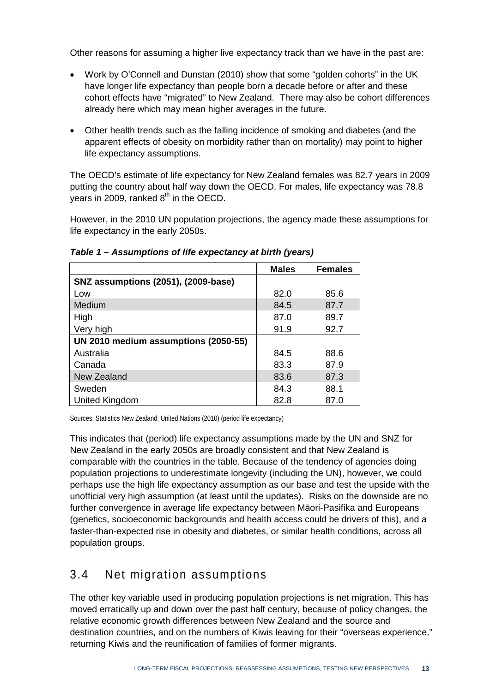Other reasons for assuming a higher live expectancy track than we have in the past are:

- Work by O'Connell and Dunstan (2010) show that some "golden cohorts" in the UK have longer life expectancy than people born a decade before or after and these cohort effects have "migrated" to New Zealand. There may also be cohort differences already here which may mean higher averages in the future.
- Other health trends such as the falling incidence of smoking and diabetes (and the apparent effects of obesity on morbidity rather than on mortality) may point to higher life expectancy assumptions.

The OECD's estimate of life expectancy for New Zealand females was 82.7 years in 2009 putting the country about half way down the OECD. For males, life expectancy was 78.8 years in 2009, ranked  $8<sup>th</sup>$  in the OECD.

However, in the 2010 UN population projections, the agency made these assumptions for life expectancy in the early 2050s.

|                                            | <b>Males</b> | <b>Females</b> |
|--------------------------------------------|--------------|----------------|
| <b>SNZ assumptions (2051), (2009-base)</b> |              |                |
| Low                                        | 82.0         | 85.6           |
| Medium                                     | 84.5         | 87.7           |
| High                                       | 87.0         | 89.7           |
| Very high                                  | 91.9         | 92.7           |
| UN 2010 medium assumptions (2050-55)       |              |                |
| Australia                                  | 84.5         | 88.6           |
| Canada                                     | 83.3         | 87.9           |
| New Zealand                                | 83.6         | 87.3           |
| Sweden                                     | 84.3         | 88.1           |
| United Kingdom                             | 82.8         | 87.0           |

#### <span id="page-18-0"></span>*Table 1 – Assumptions of life expectancy at birth (years)*

Sources: Statistics New Zealand, United Nations (2010) (period life expectancy)

This indicates that (period) life expectancy assumptions made by the UN and SNZ for New Zealand in the early 2050s are broadly consistent and that New Zealand is comparable with the countries in the table. Because of the tendency of agencies doing population projections to underestimate longevity (including the UN), however, we could perhaps use the high life expectancy assumption as our base and test the upside with the unofficial very high assumption (at least until the updates). Risks on the downside are no further convergence in average life expectancy between Māori-Pasifika and Europeans (genetics, socioeconomic backgrounds and health access could be drivers of this), and a faster-than-expected rise in obesity and diabetes, or similar health conditions, across all population groups.

#### 3.4 Net migration assumptions

The other key variable used in producing population projections is net migration. This has moved erratically up and down over the past half century, because of policy changes, the relative economic growth differences between New Zealand and the source and destination countries, and on the numbers of Kiwis leaving for their "overseas experience," returning Kiwis and the reunification of families of former migrants.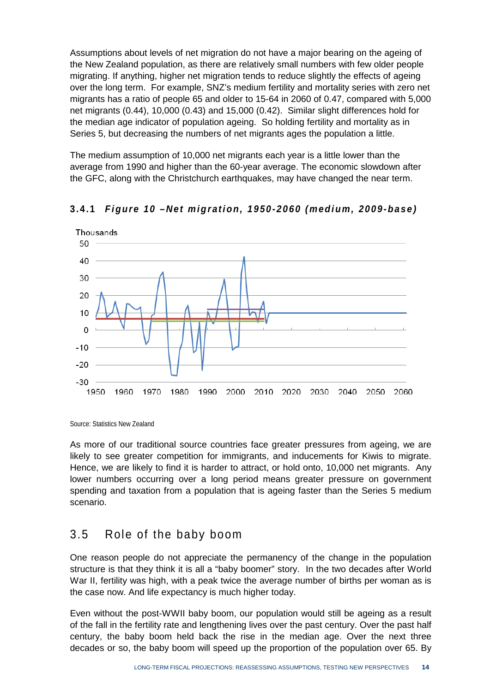Assumptions about levels of net migration do not have a major bearing on the ageing of the New Zealand population, as there are relatively small numbers with few older people migrating. If anything, higher net migration tends to reduce slightly the effects of ageing over the long term. For example, SNZ's medium fertility and mortality series with zero net migrants has a ratio of people 65 and older to 15-64 in 2060 of 0.47, compared with 5,000 net migrants (0.44), 10,000 (0.43) and 15,000 (0.42). Similar slight differences hold for the median age indicator of population ageing. So holding fertility and mortality as in Series 5, but decreasing the numbers of net migrants ages the population a little.

The medium assumption of 10,000 net migrants each year is a little lower than the average from 1990 and higher than the 60-year average. The economic slowdown after the GFC, along with the Christchurch earthquakes, may have changed the near term.



<span id="page-19-0"></span>**3.4.1** *Figure 1 0* **–***Net migration, 1950 - 2060 (medium, 2009 -base)*

Source: Statistics New Zealand

As more of our traditional source countries face greater pressures from ageing, we are likely to see greater competition for immigrants, and inducements for Kiwis to migrate. Hence, we are likely to find it is harder to attract, or hold onto, 10,000 net migrants. Any lower numbers occurring over a long period means greater pressure on government spending and taxation from a population that is ageing faster than the Series 5 medium scenario.

### 3.5 Role of the baby boom

One reason people do not appreciate the permanency of the change in the population structure is that they think it is all a "baby boomer" story. In the two decades after World War II, fertility was high, with a peak twice the average number of births per woman as is the case now. And life expectancy is much higher today.

Even without the post-WWII baby boom, our population would still be ageing as a result of the fall in the fertility rate and lengthening lives over the past century. Over the past half century, the baby boom held back the rise in the median age. Over the next three decades or so, the baby boom will speed up the proportion of the population over 65. By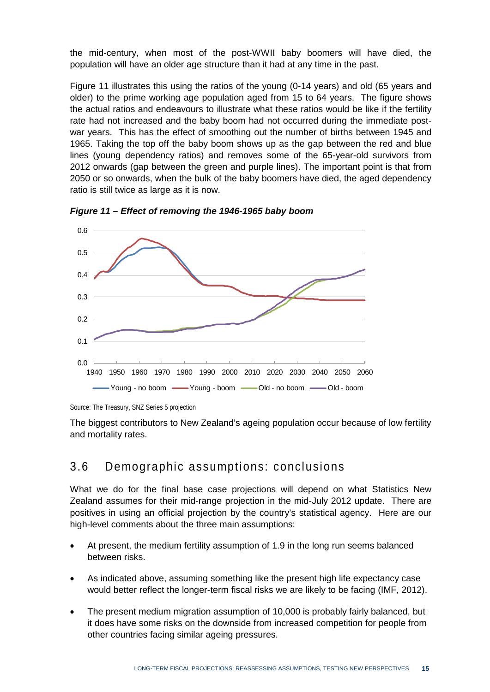the mid-century, when most of the post-WWII baby boomers will have died, the population will have an older age structure than it had at any time in the past.

Figure 11 illustrates this using the ratios of the young (0-14 years) and old (65 years and older) to the prime working age population aged from 15 to 64 years. The figure shows the actual ratios and endeavours to illustrate what these ratios would be like if the fertility rate had not increased and the baby boom had not occurred during the immediate postwar years. This has the effect of smoothing out the number of births between 1945 and 1965. Taking the top off the baby boom shows up as the gap between the red and blue lines (young dependency ratios) and removes some of the 65-year-old survivors from 2012 onwards (gap between the green and purple lines). The important point is that from 2050 or so onwards, when the bulk of the baby boomers have died, the aged dependency ratio is still twice as large as it is now.



*Figure 11 – Effect of removing the 1946-1965 baby boom*

The biggest contributors to New Zealand's ageing population occur because of low fertility and mortality rates.

#### 3.6 Demographic assumptions: conclusions

What we do for the final base case projections will depend on what Statistics New Zealand assumes for their mid-range projection in the mid-July 2012 update. There are positives in using an official projection by the country's statistical agency. Here are our high-level comments about the three main assumptions:

- At present, the medium fertility assumption of 1.9 in the long run seems balanced between risks.
- As indicated above, assuming something like the present high life expectancy case would better reflect the longer-term fiscal risks we are likely to be facing (IMF, 2012).
- The present medium migration assumption of 10,000 is probably fairly balanced, but it does have some risks on the downside from increased competition for people from other countries facing similar ageing pressures.

Source: The Treasury, SNZ Series 5 projection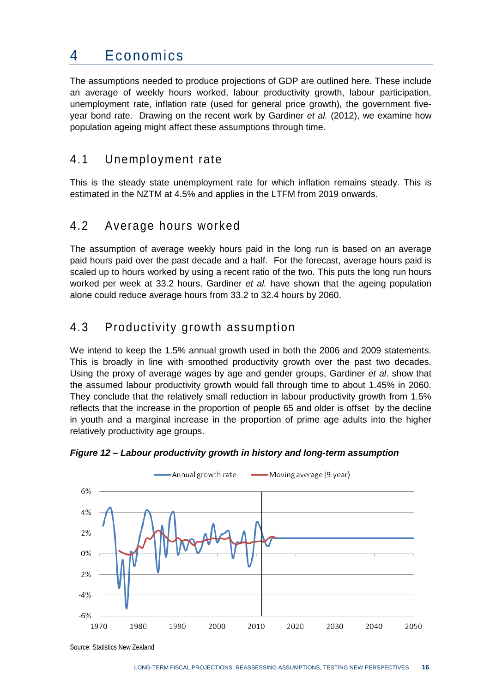### 4 Economics

The assumptions needed to produce projections of GDP are outlined here. These include an average of weekly hours worked, labour productivity growth, labour participation, unemployment rate, inflation rate (used for general price growth), the government fiveyear bond rate. Drawing on the recent work by Gardiner *et al.* (2012), we examine how population ageing might affect these assumptions through time.

#### 4.1 Unemployment rate

This is the steady state unemployment rate for which inflation remains steady. This is estimated in the NZTM at 4.5% and applies in the LTFM from 2019 onwards.

### 4.2 Average hours worked

The assumption of average weekly hours paid in the long run is based on an average paid hours paid over the past decade and a half. For the forecast, average hours paid is scaled up to hours worked by using a recent ratio of the two. This puts the long run hours worked per week at 33.2 hours. Gardiner *et al.* have shown that the ageing population alone could reduce average hours from 33.2 to 32.4 hours by 2060.

### 4.3 Productivity growth assumption

We intend to keep the 1.5% annual growth used in both the 2006 and 2009 statements. This is broadly in line with smoothed productivity growth over the past two decades. Using the proxy of average wages by age and gender groups, Gardiner *et al*. show that the assumed labour productivity growth would fall through time to about 1.45% in 2060. They conclude that the relatively small reduction in labour productivity growth from 1.5% reflects that the increase in the proportion of people 65 and older is offset by the decline in youth and a marginal increase in the proportion of prime age adults into the higher relatively productivity age groups.



#### <span id="page-21-0"></span>*Figure 12 – Labour productivity growth in history and long-term assumption*

Source: Statistics New Zealand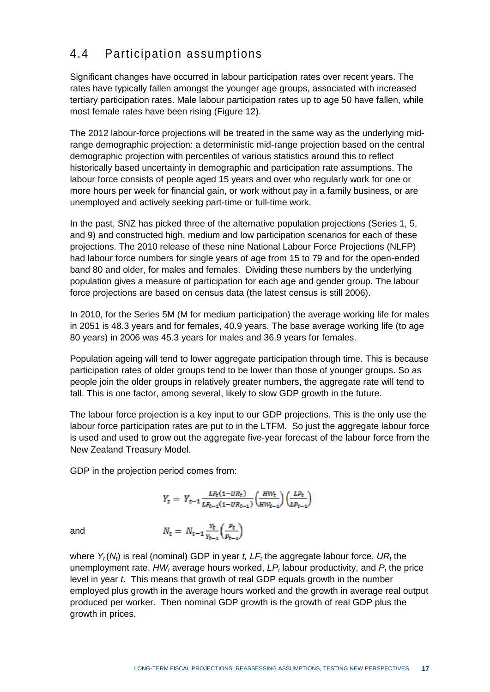### 4.4 Participation assumptions

Significant changes have occurred in labour participation rates over recent years. The rates have typically fallen amongst the younger age groups, associated with increased tertiary participation rates. Male labour participation rates up to age 50 have fallen, while most female rates have been rising (Figure 12).

The 2012 labour-force projections will be treated in the same way as the underlying midrange demographic projection: a deterministic mid-range projection based on the central demographic projection with percentiles of various statistics around this to reflect historically based uncertainty in demographic and participation rate assumptions. The labour force consists of people aged 15 years and over who regularly work for one or more hours per week for financial gain, or work without pay in a family business, or are unemployed and actively seeking part-time or full-time work.

In the past, SNZ has picked three of the alternative population projections (Series 1, 5, and 9) and constructed high, medium and low participation scenarios for each of these projections. The 2010 release of these nine National Labour Force Projections (NLFP) had labour force numbers for single years of age from 15 to 79 and for the open-ended band 80 and older, for males and females. Dividing these numbers by the underlying population gives a measure of participation for each age and gender group. The labour force projections are based on census data (the latest census is still 2006).

In 2010, for the Series 5M (M for medium participation) the average working life for males in 2051 is 48.3 years and for females, 40.9 years. The base average working life (to age 80 years) in 2006 was 45.3 years for males and 36.9 years for females.

Population ageing will tend to lower aggregate participation through time. This is because participation rates of older groups tend to be lower than those of younger groups. So as people join the older groups in relatively greater numbers, the aggregate rate will tend to fall. This is one factor, among several, likely to slow GDP growth in the future.

The labour force projection is a key input to our GDP projections. This is the only use the labour force participation rates are put to in the LTFM. So just the aggregate labour force is used and used to grow out the aggregate five-year forecast of the labour force from the New Zealand Treasury Model.

GDP in the projection period comes from:

$$
Y_{t} = Y_{t-1} \frac{L F_{t} (1 - U R_{t})}{L F_{t-1} (1 - U R_{t-1})} \left( \frac{H W_{t}}{H W_{t-1}} \right) \left( \frac{L P_{t}}{L P_{t-1}} \right)
$$

 $N_t = N_{t-1} \frac{Y_t}{Y_{t-1}} \left( \frac{P_t}{P_{t-1}} \right)$ 

and

where  $Y_t(N_t)$  is real (nominal) GDP in year *t*,  $LF_t$  the aggregate labour force,  $UR_t$  the unemployment rate,  $HW_t$  average hours worked,  $LP_t$  labour productivity, and  $P_t$  the price level in year *t*. This means that growth of real GDP equals growth in the number employed plus growth in the average hours worked and the growth in average real output produced per worker. Then nominal GDP growth is the growth of real GDP plus the growth in prices.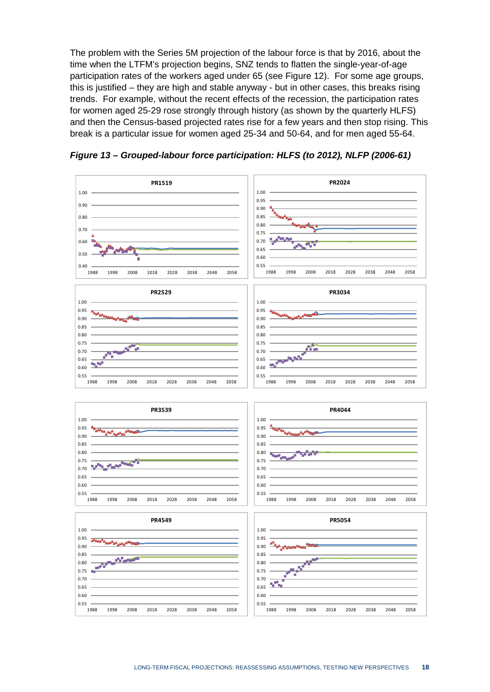The problem with the Series 5M projection of the labour force is that by 2016, about the time when the LTFM's projection begins, SNZ tends to flatten the single-year-of-age participation rates of the workers aged under 65 (see Figure 12). For some age groups, this is justified – they are high and stable anyway - but in other cases, this breaks rising trends. For example, without the recent effects of the recession, the participation rates for women aged 25-29 rose strongly through history (as shown by the quarterly HLFS) and then the Census-based projected rates rise for a few years and then stop rising. This break is a particular issue for women aged 25-34 and 50-64, and for men aged 55-64.



<span id="page-23-0"></span>*Figure 13 – Grouped-labour force participation: HLFS (to 2012), NLFP (2006-61)*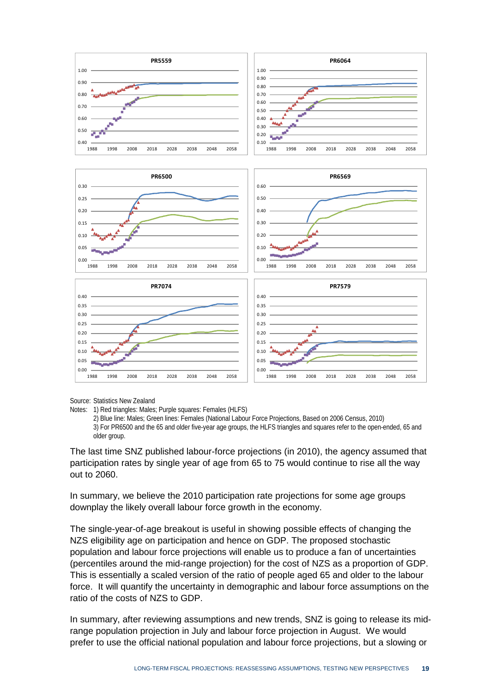

Source: Statistics New Zealand

Notes: 1) Red triangles: Males; Purple squares: Females (HLFS)

2) Blue line: Males; Green lines: Females (National Labour Force Projections, Based on 2006 Census, 2010) 3) For PR6500 and the 65 and older five-year age groups, the HLFS triangles and squares refer to the open-ended, 65 and older group.

The last time SNZ published labour-force projections (in 2010), the agency assumed that participation rates by single year of age from 65 to 75 would continue to rise all the way out to 2060.

In summary, we believe the 2010 participation rate projections for some age groups downplay the likely overall labour force growth in the economy.

The single-year-of-age breakout is useful in showing possible effects of changing the NZS eligibility age on participation and hence on GDP. The proposed stochastic population and labour force projections will enable us to produce a fan of uncertainties (percentiles around the mid-range projection) for the cost of NZS as a proportion of GDP. This is essentially a scaled version of the ratio of people aged 65 and older to the labour force. It will quantify the uncertainty in demographic and labour force assumptions on the ratio of the costs of NZS to GDP.

In summary, after reviewing assumptions and new trends, SNZ is going to release its midrange population projection in July and labour force projection in August. We would prefer to use the official national population and labour force projections, but a slowing or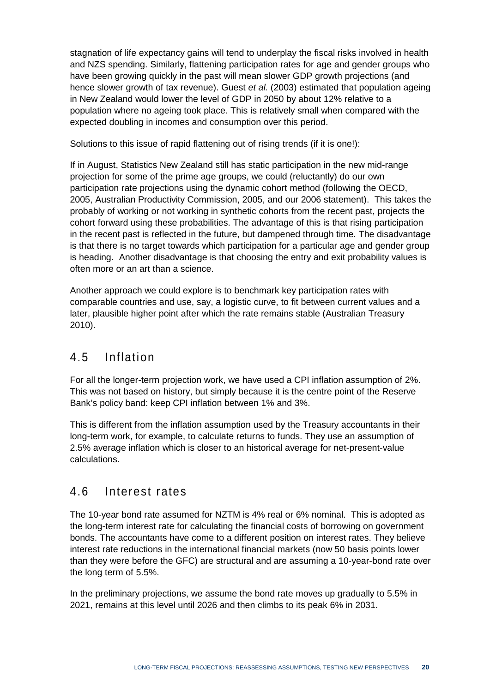stagnation of life expectancy gains will tend to underplay the fiscal risks involved in health and NZS spending. Similarly, flattening participation rates for age and gender groups who have been growing quickly in the past will mean slower GDP growth projections (and hence slower growth of tax revenue). Guest *et al.* (2003) estimated that population ageing in New Zealand would lower the level of GDP in 2050 by about 12% relative to a population where no ageing took place. This is relatively small when compared with the expected doubling in incomes and consumption over this period.

Solutions to this issue of rapid flattening out of rising trends (if it is one!):

If in August, Statistics New Zealand still has static participation in the new mid-range projection for some of the prime age groups, we could (reluctantly) do our own participation rate projections using the dynamic cohort method (following the OECD, 2005, Australian Productivity Commission, 2005, and our 2006 statement). This takes the probably of working or not working in synthetic cohorts from the recent past, projects the cohort forward using these probabilities. The advantage of this is that rising participation in the recent past is reflected in the future, but dampened through time. The disadvantage is that there is no target towards which participation for a particular age and gender group is heading. Another disadvantage is that choosing the entry and exit probability values is often more or an art than a science.

Another approach we could explore is to benchmark key participation rates with comparable countries and use, say, a logistic curve, to fit between current values and a later, plausible higher point after which the rate remains stable (Australian Treasury 2010).

### 4.5 Inflation

For all the longer-term projection work, we have used a CPI inflation assumption of 2%. This was not based on history, but simply because it is the centre point of the Reserve Bank's policy band: keep CPI inflation between 1% and 3%.

This is different from the inflation assumption used by the Treasury accountants in their long-term work, for example, to calculate returns to funds. They use an assumption of 2.5% average inflation which is closer to an historical average for net-present-value calculations.

### 4.6 Interest rates

The 10-year bond rate assumed for NZTM is 4% real or 6% nominal. This is adopted as the long-term interest rate for calculating the financial costs of borrowing on government bonds. The accountants have come to a different position on interest rates. They believe interest rate reductions in the international financial markets (now 50 basis points lower than they were before the GFC) are structural and are assuming a 10-year-bond rate over the long term of 5.5%.

In the preliminary projections, we assume the bond rate moves up gradually to 5.5% in 2021, remains at this level until 2026 and then climbs to its peak 6% in 2031.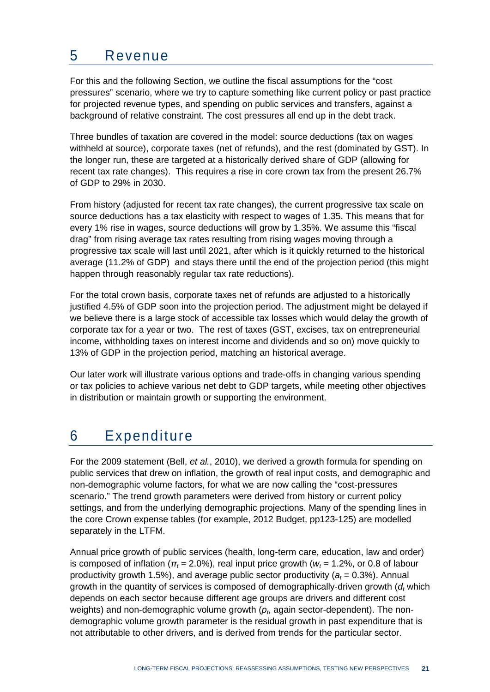### 5 Revenue

For this and the following Section, we outline the fiscal assumptions for the "cost pressures" scenario, where we try to capture something like current policy or past practice for projected revenue types, and spending on public services and transfers, against a background of relative constraint. The cost pressures all end up in the debt track.

Three bundles of taxation are covered in the model: source deductions (tax on wages withheld at source), corporate taxes (net of refunds), and the rest (dominated by GST). In the longer run, these are targeted at a historically derived share of GDP (allowing for recent tax rate changes). This requires a rise in core crown tax from the present 26.7% of GDP to 29% in 2030.

From history (adjusted for recent tax rate changes), the current progressive tax scale on source deductions has a tax elasticity with respect to wages of 1.35. This means that for every 1% rise in wages, source deductions will grow by 1.35%. We assume this "fiscal drag" from rising average tax rates resulting from rising wages moving through a progressive tax scale will last until 2021, after which is it quickly returned to the historical average (11.2% of GDP) and stays there until the end of the projection period (this might happen through reasonably regular tax rate reductions).

For the total crown basis, corporate taxes net of refunds are adjusted to a historically justified 4.5% of GDP soon into the projection period. The adjustment might be delayed if we believe there is a large stock of accessible tax losses which would delay the growth of corporate tax for a year or two. The rest of taxes (GST, excises, tax on entrepreneurial income, withholding taxes on interest income and dividends and so on) move quickly to 13% of GDP in the projection period, matching an historical average.

Our later work will illustrate various options and trade-offs in changing various spending or tax policies to achieve various net debt to GDP targets, while meeting other objectives in distribution or maintain growth or supporting the environment.

## 6 Expenditure

For the 2009 statement (Bell, *et al.*, 2010), we derived a growth formula for spending on public services that drew on inflation, the growth of real input costs, and demographic and non-demographic volume factors, for what we are now calling the "cost-pressures scenario." The trend growth parameters were derived from history or current policy settings, and from the underlying demographic projections. Many of the spending lines in the core Crown expense tables (for example, 2012 Budget, pp123-125) are modelled separately in the LTFM.

Annual price growth of public services (health, long-term care, education, law and order) is composed of inflation ( $\pi_t$  = 2.0%), real input price growth ( $w_t$  = 1.2%, or 0.8 of labour productivity growth 1.5%), and average public sector productivity  $(a_t = 0.3\%)$ . Annual growth in the quantity of services is composed of demographically-driven growth (*dt* which depends on each sector because different age groups are drivers and different cost weights) and non-demographic volume growth  $(p<sub>t</sub>,$  again sector-dependent). The nondemographic volume growth parameter is the residual growth in past expenditure that is not attributable to other drivers, and is derived from trends for the particular sector.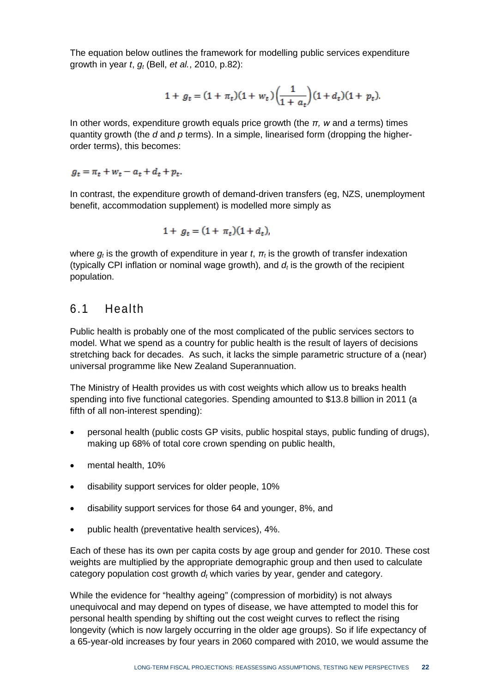The equation below outlines the framework for modelling public services expenditure growth in year *t*, *gt* (Bell, *et al.*, 2010, p.82):

$$
1 + g_t = (1 + \pi_t)(1 + w_t)\left(\frac{1}{1 + a_t}\right)(1 + d_t)(1 + p_t).
$$

In other words, expenditure growth equals price growth (the *π, w* and *a* terms) times quantity growth (the *d* and *p* terms). In a simple, linearised form (dropping the higherorder terms), this becomes:

 $g_t = \pi_t + w_t - a_t + d_t + p_t.$ 

In contrast, the expenditure growth of demand-driven transfers (eg, NZS, unemployment benefit, accommodation supplement) is modelled more simply as

$$
1 + g_t = (1 + \pi_t)(1 + d_t),
$$

where  $g_t$  is the growth of expenditure in year  $t$ ,  $\pi_t$  is the growth of transfer indexation (typically CPI inflation or nominal wage growth), and  $d_t$  is the growth of the recipient population.

#### 6.1 Health

Public health is probably one of the most complicated of the public services sectors to model. What we spend as a country for public health is the result of layers of decisions stretching back for decades. As such, it lacks the simple parametric structure of a (near) universal programme like New Zealand Superannuation.

The Ministry of Health provides us with cost weights which allow us to breaks health spending into five functional categories. Spending amounted to \$13.8 billion in 2011 (a fifth of all non-interest spending):

- personal health (public costs GP visits, public hospital stays, public funding of drugs), making up 68% of total core crown spending on public health,
- mental health, 10%
- disability support services for older people, 10%
- disability support services for those 64 and younger, 8%, and
- public health (preventative health services), 4%.

Each of these has its own per capita costs by age group and gender for 2010. These cost weights are multiplied by the appropriate demographic group and then used to calculate category population cost growth  $d_t$  which varies by year, gender and category.

While the evidence for "healthy ageing" (compression of morbidity) is not always unequivocal and may depend on types of disease, we have attempted to model this for personal health spending by shifting out the cost weight curves to reflect the rising longevity (which is now largely occurring in the older age groups). So if life expectancy of a 65-year-old increases by four years in 2060 compared with 2010, we would assume the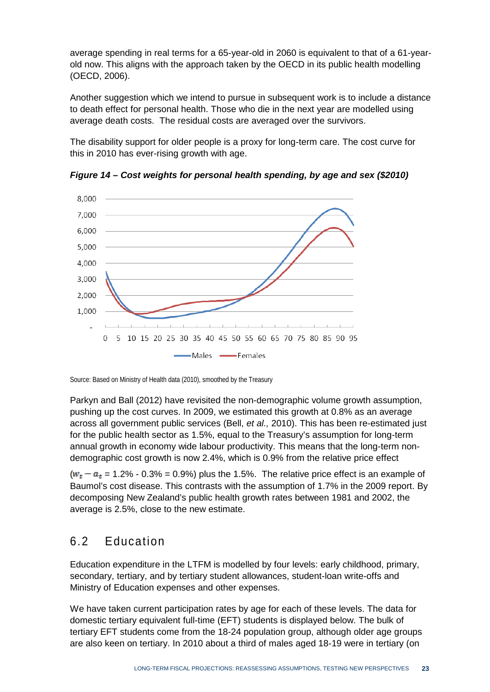average spending in real terms for a 65-year-old in 2060 is equivalent to that of a 61-yearold now. This aligns with the approach taken by the OECD in its public health modelling (OECD, 2006).

Another suggestion which we intend to pursue in subsequent work is to include a distance to death effect for personal health. Those who die in the next year are modelled using average death costs. The residual costs are averaged over the survivors.

The disability support for older people is a proxy for long-term care. The cost curve for this in 2010 has ever-rising growth with age.



<span id="page-28-0"></span>*Figure 14 – Cost weights for personal health spending, by age and sex (\$2010)*

Source: Based on Ministry of Health data (2010), smoothed by the Treasury

Parkyn and Ball (2012) have revisited the non-demographic volume growth assumption, pushing up the cost curves. In 2009, we estimated this growth at 0.8% as an average across all government public services (Bell, *et al.,* 2010). This has been re-estimated just for the public health sector as 1.5%, equal to the Treasury's assumption for long-term annual growth in economy wide labour productivity. This means that the long-term nondemographic cost growth is now 2.4%, which is 0.9% from the relative price effect

 $(w<sub>t</sub> - a<sub>t</sub> = 1.2\% - 0.3\% = 0.9\%)$  plus the 1.5%. The relative price effect is an example of Baumol's cost disease. This contrasts with the assumption of 1.7% in the 2009 report. By decomposing New Zealand's public health growth rates between 1981 and 2002, the average is 2.5%, close to the new estimate.

### 6.2 Education

Education expenditure in the LTFM is modelled by four levels: early childhood, primary, secondary, tertiary, and by tertiary student allowances, student-loan write-offs and Ministry of Education expenses and other expenses.

We have taken current participation rates by age for each of these levels. The data for domestic tertiary equivalent full-time (EFT) students is displayed below. The bulk of tertiary EFT students come from the 18-24 population group, although older age groups are also keen on tertiary. In 2010 about a third of males aged 18-19 were in tertiary (on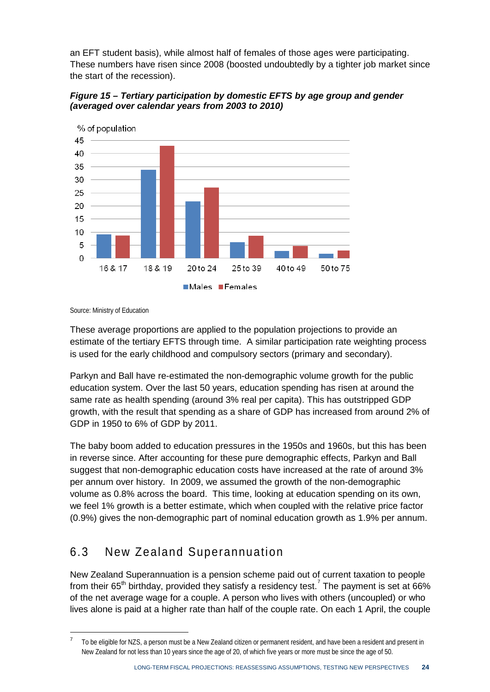an EFT student basis), while almost half of females of those ages were participating. These numbers have risen since 2008 (boosted undoubtedly by a tighter job market since the start of the recession).



<span id="page-29-0"></span>*Figure 15 – Tertiary participation by domestic EFTS by age group and gender (averaged over calendar years from 2003 to 2010)*

Source: Ministry of Education

**.** 

These average proportions are applied to the population projections to provide an estimate of the tertiary EFTS through time. A similar participation rate weighting process is used for the early childhood and compulsory sectors (primary and secondary).

Parkyn and Ball have re-estimated the non-demographic volume growth for the public education system. Over the last 50 years, education spending has risen at around the same rate as health spending (around 3% real per capita). This has outstripped GDP growth, with the result that spending as a share of GDP has increased from around 2% of GDP in 1950 to 6% of GDP by 2011.

The baby boom added to education pressures in the 1950s and 1960s, but this has been in reverse since. After accounting for these pure demographic effects, Parkyn and Ball suggest that non-demographic education costs have increased at the rate of around 3% per annum over history. In 2009, we assumed the growth of the non-demographic volume as 0.8% across the board. This time, looking at education spending on its own, we feel 1% growth is a better estimate, which when coupled with the relative price factor (0.9%) gives the non-demographic part of nominal education growth as 1.9% per annum.

### 6.3 New Zealand Superannuation

New Zealand Superannuation is a pension scheme paid out of current taxation to people from their 65<sup>th</sup> birthday, provided they satisfy a residency test.<sup>[7](#page-29-1)</sup> The payment is set at 66% of the net average wage for a couple. A person who lives with others (uncoupled) or who lives alone is paid at a higher rate than half of the couple rate. On each 1 April, the couple

<span id="page-29-1"></span><sup>7</sup> To be eligible for NZS, a person must be a New Zealand citizen or permanent resident, and have been a resident and present in New Zealand for not less than 10 years since the age of 20, of which five years or more must be since the age of 50.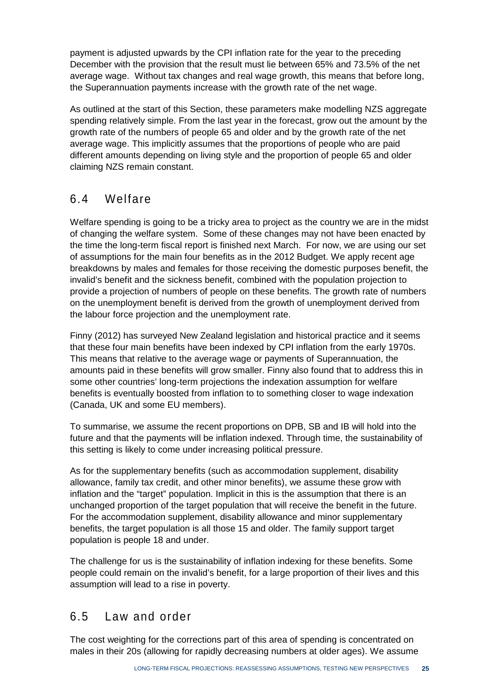payment is adjusted upwards by the CPI inflation rate for the year to the preceding December with the provision that the result must lie between 65% and 73.5% of the net average wage. Without tax changes and real wage growth, this means that before long, the Superannuation payments increase with the growth rate of the net wage.

As outlined at the start of this Section, these parameters make modelling NZS aggregate spending relatively simple. From the last year in the forecast, grow out the amount by the growth rate of the numbers of people 65 and older and by the growth rate of the net average wage. This implicitly assumes that the proportions of people who are paid different amounts depending on living style and the proportion of people 65 and older claiming NZS remain constant.

### 6.4 Welfare

Welfare spending is going to be a tricky area to project as the country we are in the midst of changing the welfare system. Some of these changes may not have been enacted by the time the long-term fiscal report is finished next March. For now, we are using our set of assumptions for the main four benefits as in the 2012 Budget. We apply recent age breakdowns by males and females for those receiving the domestic purposes benefit, the invalid's benefit and the sickness benefit, combined with the population projection to provide a projection of numbers of people on these benefits. The growth rate of numbers on the unemployment benefit is derived from the growth of unemployment derived from the labour force projection and the unemployment rate.

Finny (2012) has surveyed New Zealand legislation and historical practice and it seems that these four main benefits have been indexed by CPI inflation from the early 1970s. This means that relative to the average wage or payments of Superannuation, the amounts paid in these benefits will grow smaller. Finny also found that to address this in some other countries' long-term projections the indexation assumption for welfare benefits is eventually boosted from inflation to to something closer to wage indexation (Canada, UK and some EU members).

To summarise, we assume the recent proportions on DPB, SB and IB will hold into the future and that the payments will be inflation indexed. Through time, the sustainability of this setting is likely to come under increasing political pressure.

As for the supplementary benefits (such as accommodation supplement, disability allowance, family tax credit, and other minor benefits), we assume these grow with inflation and the "target" population. Implicit in this is the assumption that there is an unchanged proportion of the target population that will receive the benefit in the future. For the accommodation supplement, disability allowance and minor supplementary benefits, the target population is all those 15 and older. The family support target population is people 18 and under.

The challenge for us is the sustainability of inflation indexing for these benefits. Some people could remain on the invalid's benefit, for a large proportion of their lives and this assumption will lead to a rise in poverty.

### 6.5 Law and order

The cost weighting for the corrections part of this area of spending is concentrated on males in their 20s (allowing for rapidly decreasing numbers at older ages). We assume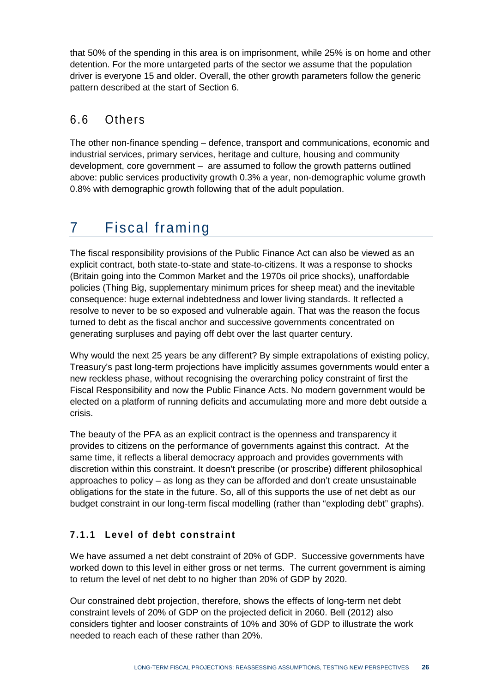that 50% of the spending in this area is on imprisonment, while 25% is on home and other detention. For the more untargeted parts of the sector we assume that the population driver is everyone 15 and older. Overall, the other growth parameters follow the generic pattern described at the start of Section 6.

### 6.6 Others

The other non-finance spending – defence, transport and communications, economic and industrial services, primary services, heritage and culture, housing and community development, core government – are assumed to follow the growth patterns outlined above: public services productivity growth 0.3% a year, non-demographic volume growth 0.8% with demographic growth following that of the adult population.

## 7 Fiscal framing

The fiscal responsibility provisions of the Public Finance Act can also be viewed as an explicit contract, both state-to-state and state-to-citizens. It was a response to shocks (Britain going into the Common Market and the 1970s oil price shocks), unaffordable policies (Thing Big, supplementary minimum prices for sheep meat) and the inevitable consequence: huge external indebtedness and lower living standards. It reflected a resolve to never to be so exposed and vulnerable again. That was the reason the focus turned to debt as the fiscal anchor and successive governments concentrated on generating surpluses and paying off debt over the last quarter century.

Why would the next 25 years be any different? By simple extrapolations of existing policy, Treasury's past long-term projections have implicitly assumes governments would enter a new reckless phase, without recognising the overarching policy constraint of first the Fiscal Responsibility and now the Public Finance Acts. No modern government would be elected on a platform of running deficits and accumulating more and more debt outside a crisis.

The beauty of the PFA as an explicit contract is the openness and transparency it provides to citizens on the performance of governments against this contract. At the same time, it reflects a liberal democracy approach and provides governments with discretion within this constraint. It doesn't prescribe (or proscribe) different philosophical approaches to policy – as long as they can be afforded and don't create unsustainable obligations for the state in the future. So, all of this supports the use of net debt as our budget constraint in our long-term fiscal modelling (rather than "exploding debt" graphs).

#### **7.1.1 Level of debt constraint**

We have assumed a net debt constraint of 20% of GDP. Successive governments have worked down to this level in either gross or net terms. The current government is aiming to return the level of net debt to no higher than 20% of GDP by 2020.

Our constrained debt projection, therefore, shows the effects of long-term net debt constraint levels of 20% of GDP on the projected deficit in 2060. Bell (2012) also considers tighter and looser constraints of 10% and 30% of GDP to illustrate the work needed to reach each of these rather than 20%.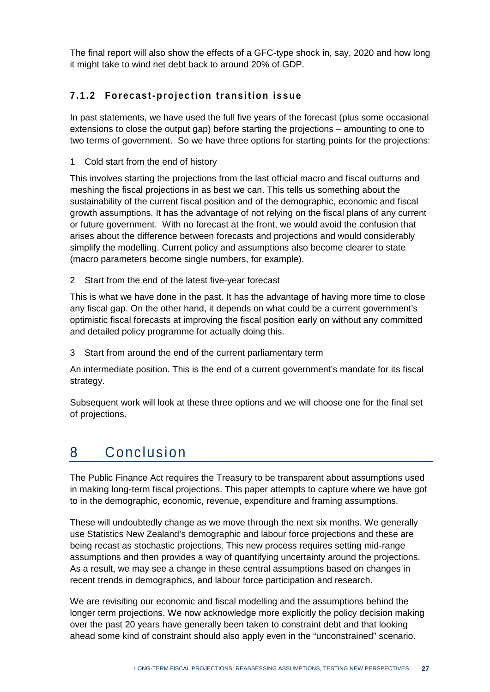The final report will also show the effects of a GFC-type shock in, say, 2020 and how long it might take to wind net debt back to around 20% of GDP.

#### **7.1.2 Forecast-projection transition issue**

In past statements, we have used the full five years of the forecast (plus some occasional extensions to close the output gap) before starting the projections – amounting to one to two terms of government. So we have three options for starting points for the projections:

1 Cold start from the end of history

This involves starting the projections from the last official macro and fiscal outturns and meshing the fiscal projections in as best we can. This tells us something about the sustainability of the current fiscal position and of the demographic, economic and fiscal growth assumptions. It has the advantage of not relying on the fiscal plans of any current or future government. With no forecast at the front, we would avoid the confusion that arises about the difference between forecasts and projections and would considerably simplify the modelling. Current policy and assumptions also become clearer to state (macro parameters become single numbers, for example).

2 Start from the end of the latest five-year forecast

This is what we have done in the past. It has the advantage of having more time to close any fiscal gap. On the other hand, it depends on what could be a current government's optimistic fiscal forecasts at improving the fiscal position early on without any committed and detailed policy programme for actually doing this.

3 Start from around the end of the current parliamentary term

An intermediate position. This is the end of a current government's mandate for its fiscal strategy.

Subsequent work will look at these three options and we will choose one for the final set of projections.

## 8 Conclusion

The Public Finance Act requires the Treasury to be transparent about assumptions used in making long-term fiscal projections. This paper attempts to capture where we have got to in the demographic, economic, revenue, expenditure and framing assumptions.

These will undoubtedly change as we move through the next six months. We generally use Statistics New Zealand's demographic and labour force projections and these are being recast as stochastic projections. This new process requires setting mid-range assumptions and then provides a way of quantifying uncertainty around the projections. As a result, we may see a change in these central assumptions based on changes in recent trends in demographics, and labour force participation and research.

We are revisiting our economic and fiscal modelling and the assumptions behind the longer term projections. We now acknowledge more explicitly the policy decision making over the past 20 years have generally been taken to constraint debt and that looking ahead some kind of constraint should also apply even in the "unconstrained" scenario.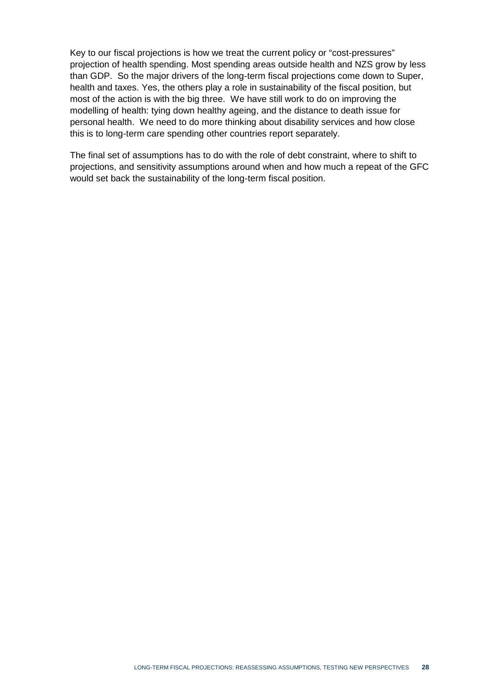Key to our fiscal projections is how we treat the current policy or "cost-pressures" projection of health spending. Most spending areas outside health and NZS grow by less than GDP. So the major drivers of the long-term fiscal projections come down to Super, health and taxes. Yes, the others play a role in sustainability of the fiscal position, but most of the action is with the big three. We have still work to do on improving the modelling of health: tying down healthy ageing, and the distance to death issue for personal health. We need to do more thinking about disability services and how close this is to long-term care spending other countries report separately.

The final set of assumptions has to do with the role of debt constraint, where to shift to projections, and sensitivity assumptions around when and how much a repeat of the GFC would set back the sustainability of the long-term fiscal position.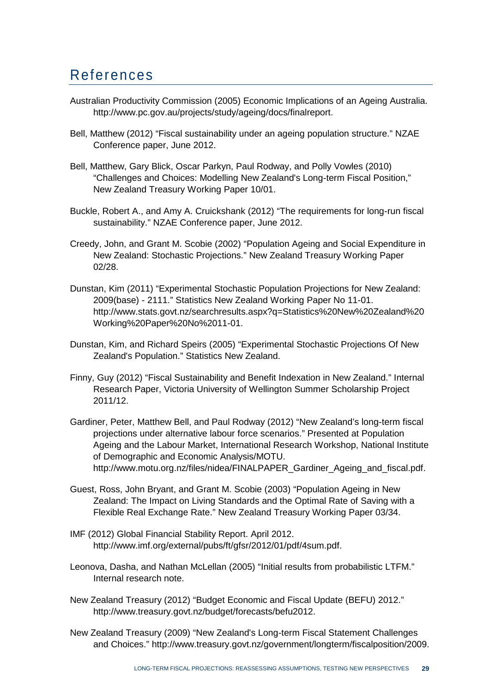### References

- Australian Productivity Commission (2005) Economic Implications of an Ageing Australia. http://www.pc.gov.au/projects/study/ageing/docs/finalreport.
- Bell, Matthew (2012) "Fiscal sustainability under an ageing population structure." NZAE Conference paper, June 2012.
- Bell, Matthew, Gary Blick, Oscar Parkyn, Paul Rodway, and Polly Vowles (2010) "Challenges and Choices: Modelling New Zealand's Long-term Fiscal Position," New Zealand Treasury Working Paper 10/01.
- Buckle, Robert A., and Amy A. Cruickshank (2012) "The requirements for long-run fiscal sustainability." NZAE Conference paper, June 2012.
- Creedy, John, and Grant M. Scobie (2002) "Population Ageing and Social Expenditure in New Zealand: Stochastic Projections." New Zealand Treasury Working Paper 02/28.
- Dunstan, Kim (2011) "Experimental Stochastic Population Projections for New Zealand: 2009(base) - 2111." Statistics New Zealand Working Paper No 11-01. http://www.stats.govt.nz/searchresults.aspx?q=Statistics%20New%20Zealand%20 Working%20Paper%20No%2011-01.
- Dunstan, Kim, and Richard Speirs (2005) "Experimental Stochastic Projections Of New Zealand's Population." Statistics New Zealand.
- Finny, Guy (2012) "Fiscal Sustainability and Benefit Indexation in New Zealand." Internal Research Paper, Victoria University of Wellington Summer Scholarship Project 2011/12.
- Gardiner, Peter, Matthew Bell, and Paul Rodway (2012) "New Zealand's long-term fiscal projections under alternative labour force scenarios." Presented at Population Ageing and the Labour Market, International Research Workshop, National Institute of Demographic and Economic Analysis/MOTU. http://www.motu.org.nz/files/nidea/FINALPAPER\_Gardiner\_Ageing\_and\_fiscal.pdf.
- Guest, Ross, John Bryant, and Grant M. Scobie (2003) "Population Ageing in New Zealand: The Impact on Living Standards and the Optimal Rate of Saving with a Flexible Real Exchange Rate." New Zealand Treasury Working Paper 03/34.
- IMF (2012) Global Financial Stability Report. April 2012. http://www.imf.org/external/pubs/ft/gfsr/2012/01/pdf/4sum.pdf.
- Leonova, Dasha, and Nathan McLellan (2005) "Initial results from probabilistic LTFM." Internal research note.
- New Zealand Treasury (2012) "Budget Economic and Fiscal Update (BEFU) 2012." http://www.treasury.govt.nz/budget/forecasts/befu2012.
- New Zealand Treasury (2009) "New Zealand's Long-term Fiscal Statement Challenges and Choices." http://www.treasury.govt.nz/government/longterm/fiscalposition/2009.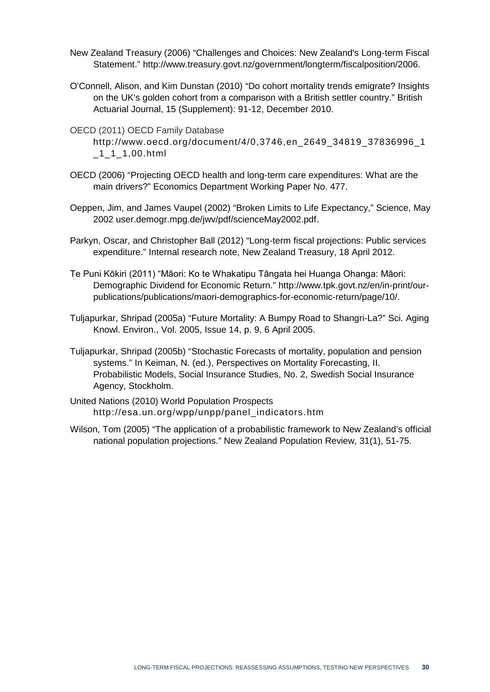- New Zealand Treasury (2006) "Challenges and Choices: New Zealand's Long-term Fiscal Statement." http://www.treasury.govt.nz/government/longterm/fiscalposition/2006.
- O'Connell, Alison, and Kim Dunstan (2010) "Do cohort mortality trends emigrate? Insights on the UK's golden cohort from a comparison with a British settler country." British Actuarial Journal, 15 (Supplement): 91-12, December 2010.
- OECD (2011) OECD Family Database
	- [http://www.oecd.org/document/4/0,3746,en\\_2649\\_34819\\_37836996\\_1](http://www.oecd.org/document/4/0,3746,en_2649_34819_37836996_1_1_1_1,00.html)  $-1$ <sup>1</sup> $-1,00.html$
- OECD (2006) "Projecting OECD health and long-term care expenditures: What are the main drivers?" Economics Department Working Paper No. 477.
- Oeppen, Jim, and James Vaupel (2002) "Broken Limits to Life Expectancy," Science, May 2002 user.demogr.mpg.de/jwv/pdf/scienceMay2002.pdf.
- Parkyn, Oscar, and Christopher Ball (2012) "Long-term fiscal projections: Public services expenditure." Internal research note, New Zealand Treasury, 18 April 2012.
- Te Puni Kōkiri (2011) "Māori: Ko te Whakatipu Tāngata hei Huanga Ohanga: Māori: Demographic Dividend for Economic Return." http://www.tpk.govt.nz/en/in-print/ourpublications/publications/maori-demographics-for-economic-return/page/10/.
- Tuljapurkar, Shripad (2005a) "Future Mortality: A Bumpy Road to Shangri-La?" Sci. Aging Knowl. Environ., Vol. 2005, Issue 14, p. 9, 6 April 2005.
- Tuljapurkar, Shripad (2005b) "Stochastic Forecasts of mortality, population and pension systems." In Keiman, N. (ed.), Perspectives on Mortality Forecasting, II. Probabilistic Models, Social Insurance Studies, No. 2, Swedish Social Insurance Agency, Stockholm.
- United Nations (2010) World Population Prospects http://esa.un.org/wpp/unpp/panel\_indicators.htm
- Wilson, Tom (2005) "The application of a probabilistic framework to New Zealand's official national population projections." New Zealand Population Review, 31(1), 51-75.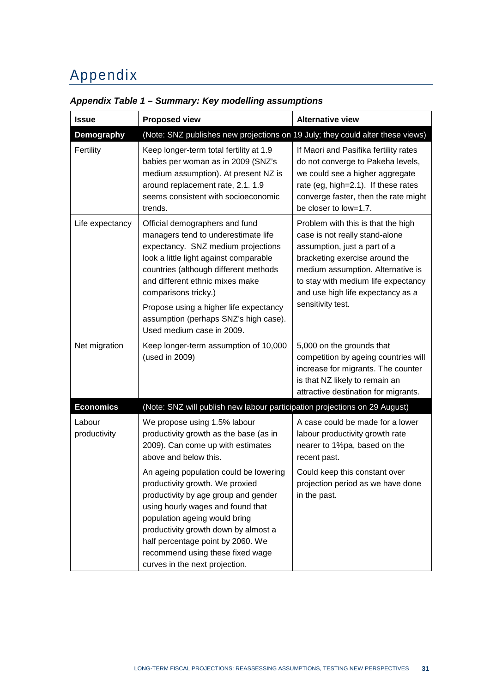## Appendix

| <b>Issue</b>           | <b>Proposed view</b>                                                                                                                                                                                                                                                                                                                                                      | <b>Alternative view</b>                                                                                                                                                                                                                                                      |
|------------------------|---------------------------------------------------------------------------------------------------------------------------------------------------------------------------------------------------------------------------------------------------------------------------------------------------------------------------------------------------------------------------|------------------------------------------------------------------------------------------------------------------------------------------------------------------------------------------------------------------------------------------------------------------------------|
| <b>Demography</b>      | (Note: SNZ publishes new projections on 19 July; they could alter these views)                                                                                                                                                                                                                                                                                            |                                                                                                                                                                                                                                                                              |
| Fertility              | Keep longer-term total fertility at 1.9<br>babies per woman as in 2009 (SNZ's<br>medium assumption). At present NZ is<br>around replacement rate, 2.1. 1.9<br>seems consistent with socioeconomic<br>trends.                                                                                                                                                              | If Maori and Pasifika fertility rates<br>do not converge to Pakeha levels,<br>we could see a higher aggregate<br>rate (eg, high=2.1). If these rates<br>converge faster, then the rate might<br>be closer to low=1.7.                                                        |
| Life expectancy        | Official demographers and fund<br>managers tend to underestimate life<br>expectancy. SNZ medium projections<br>look a little light against comparable<br>countries (although different methods<br>and different ethnic mixes make<br>comparisons tricky.)<br>Propose using a higher life expectancy<br>assumption (perhaps SNZ's high case).<br>Used medium case in 2009. | Problem with this is that the high<br>case is not really stand-alone<br>assumption, just a part of a<br>bracketing exercise around the<br>medium assumption. Alternative is<br>to stay with medium life expectancy<br>and use high life expectancy as a<br>sensitivity test. |
| Net migration          | Keep longer-term assumption of 10,000<br>(used in 2009)                                                                                                                                                                                                                                                                                                                   | 5,000 on the grounds that<br>competition by ageing countries will<br>increase for migrants. The counter<br>is that NZ likely to remain an<br>attractive destination for migrants.                                                                                            |
| <b>Economics</b>       | (Note: SNZ will publish new labour participation projections on 29 August)                                                                                                                                                                                                                                                                                                |                                                                                                                                                                                                                                                                              |
| Labour<br>productivity | We propose using 1.5% labour<br>productivity growth as the base (as in<br>2009). Can come up with estimates<br>above and below this.                                                                                                                                                                                                                                      | A case could be made for a lower<br>labour productivity growth rate<br>nearer to 1%pa, based on the<br>recent past.                                                                                                                                                          |
|                        | An ageing population could be lowering<br>productivity growth. We proxied<br>productivity by age group and gender<br>using hourly wages and found that<br>population ageing would bring<br>productivity growth down by almost a<br>half percentage point by 2060. We<br>recommend using these fixed wage<br>curves in the next projection.                                | Could keep this constant over<br>projection period as we have done<br>in the past.                                                                                                                                                                                           |

#### <span id="page-36-0"></span>*Appendix Table 1 – Summary: Key modelling assumptions*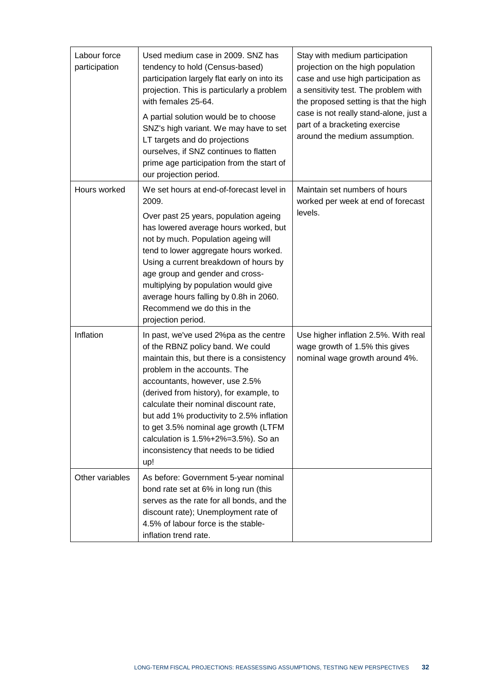| Labour force<br>participation | Used medium case in 2009. SNZ has<br>tendency to hold (Census-based)<br>participation largely flat early on into its<br>projection. This is particularly a problem<br>with females 25-64.<br>A partial solution would be to choose<br>SNZ's high variant. We may have to set<br>LT targets and do projections<br>ourselves, if SNZ continues to flatten<br>prime age participation from the start of<br>our projection period.                              | Stay with medium participation<br>projection on the high population<br>case and use high participation as<br>a sensitivity test. The problem with<br>the proposed setting is that the high<br>case is not really stand-alone, just a<br>part of a bracketing exercise<br>around the medium assumption. |
|-------------------------------|-------------------------------------------------------------------------------------------------------------------------------------------------------------------------------------------------------------------------------------------------------------------------------------------------------------------------------------------------------------------------------------------------------------------------------------------------------------|--------------------------------------------------------------------------------------------------------------------------------------------------------------------------------------------------------------------------------------------------------------------------------------------------------|
| Hours worked                  | We set hours at end-of-forecast level in<br>2009.<br>Over past 25 years, population ageing<br>has lowered average hours worked, but<br>not by much. Population ageing will<br>tend to lower aggregate hours worked.<br>Using a current breakdown of hours by<br>age group and gender and cross-<br>multiplying by population would give<br>average hours falling by 0.8h in 2060.<br>Recommend we do this in the<br>projection period.                      | Maintain set numbers of hours<br>worked per week at end of forecast<br>levels.                                                                                                                                                                                                                         |
| Inflation                     | In past, we've used 2%pa as the centre<br>of the RBNZ policy band. We could<br>maintain this, but there is a consistency<br>problem in the accounts. The<br>accountants, however, use 2.5%<br>(derived from history), for example, to<br>calculate their nominal discount rate,<br>but add 1% productivity to 2.5% inflation<br>to get 3.5% nominal age growth (LTFM<br>calculation is 1.5%+2%=3.5%). So an<br>inconsistency that needs to be tidied<br>up! | Use higher inflation 2.5%. With real<br>wage growth of 1.5% this gives<br>nominal wage growth around 4%.                                                                                                                                                                                               |
| Other variables               | As before: Government 5-year nominal<br>bond rate set at 6% in long run (this<br>serves as the rate for all bonds, and the<br>discount rate); Unemployment rate of<br>4.5% of labour force is the stable-<br>inflation trend rate.                                                                                                                                                                                                                          |                                                                                                                                                                                                                                                                                                        |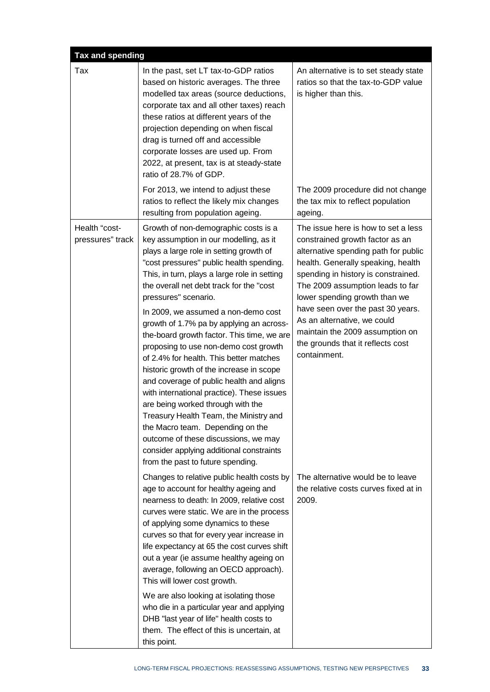| <b>Tax and spending</b>           |                                                                                                                                                                                                                                                                                                                                                                                                                                                                                                                                                                                                                                                                                                                                                                                                                                                                                                  |                                                                                                                                                                                                                                                                                                                                                                                                                              |  |  |  |
|-----------------------------------|--------------------------------------------------------------------------------------------------------------------------------------------------------------------------------------------------------------------------------------------------------------------------------------------------------------------------------------------------------------------------------------------------------------------------------------------------------------------------------------------------------------------------------------------------------------------------------------------------------------------------------------------------------------------------------------------------------------------------------------------------------------------------------------------------------------------------------------------------------------------------------------------------|------------------------------------------------------------------------------------------------------------------------------------------------------------------------------------------------------------------------------------------------------------------------------------------------------------------------------------------------------------------------------------------------------------------------------|--|--|--|
| Tax                               | In the past, set LT tax-to-GDP ratios<br>based on historic averages. The three<br>modelled tax areas (source deductions,<br>corporate tax and all other taxes) reach<br>these ratios at different years of the<br>projection depending on when fiscal<br>drag is turned off and accessible<br>corporate losses are used up. From<br>2022, at present, tax is at steady-state<br>ratio of 28.7% of GDP.                                                                                                                                                                                                                                                                                                                                                                                                                                                                                           | An alternative is to set steady state<br>ratios so that the tax-to-GDP value<br>is higher than this.                                                                                                                                                                                                                                                                                                                         |  |  |  |
|                                   | For 2013, we intend to adjust these<br>ratios to reflect the likely mix changes<br>resulting from population ageing.                                                                                                                                                                                                                                                                                                                                                                                                                                                                                                                                                                                                                                                                                                                                                                             | The 2009 procedure did not change<br>the tax mix to reflect population<br>ageing.                                                                                                                                                                                                                                                                                                                                            |  |  |  |
| Health "cost-<br>pressures" track | Growth of non-demographic costs is a<br>key assumption in our modelling, as it<br>plays a large role in setting growth of<br>"cost pressures" public health spending.<br>This, in turn, plays a large role in setting<br>the overall net debt track for the "cost<br>pressures" scenario.<br>In 2009, we assumed a non-demo cost<br>growth of 1.7% pa by applying an across-<br>the-board growth factor. This time, we are<br>proposing to use non-demo cost growth<br>of 2.4% for health. This better matches<br>historic growth of the increase in scope<br>and coverage of public health and aligns<br>with international practice). These issues<br>are being worked through with the<br>Treasury Health Team, the Ministry and<br>the Macro team. Depending on the<br>outcome of these discussions, we may<br>consider applying additional constraints<br>from the past to future spending. | The issue here is how to set a less<br>constrained growth factor as an<br>alternative spending path for public<br>health. Generally speaking, health<br>spending in history is constrained.<br>The 2009 assumption leads to far<br>lower spending growth than we<br>have seen over the past 30 years.<br>As an alternative, we could<br>maintain the 2009 assumption on<br>the grounds that it reflects cost<br>containment. |  |  |  |
|                                   | Changes to relative public health costs by<br>age to account for healthy ageing and<br>nearness to death: In 2009, relative cost<br>curves were static. We are in the process<br>of applying some dynamics to these<br>curves so that for every year increase in<br>life expectancy at 65 the cost curves shift<br>out a year (ie assume healthy ageing on<br>average, following an OECD approach).<br>This will lower cost growth.                                                                                                                                                                                                                                                                                                                                                                                                                                                              | The alternative would be to leave<br>the relative costs curves fixed at in<br>2009.                                                                                                                                                                                                                                                                                                                                          |  |  |  |
|                                   | We are also looking at isolating those<br>who die in a particular year and applying<br>DHB "last year of life" health costs to<br>them. The effect of this is uncertain, at<br>this point.                                                                                                                                                                                                                                                                                                                                                                                                                                                                                                                                                                                                                                                                                                       |                                                                                                                                                                                                                                                                                                                                                                                                                              |  |  |  |